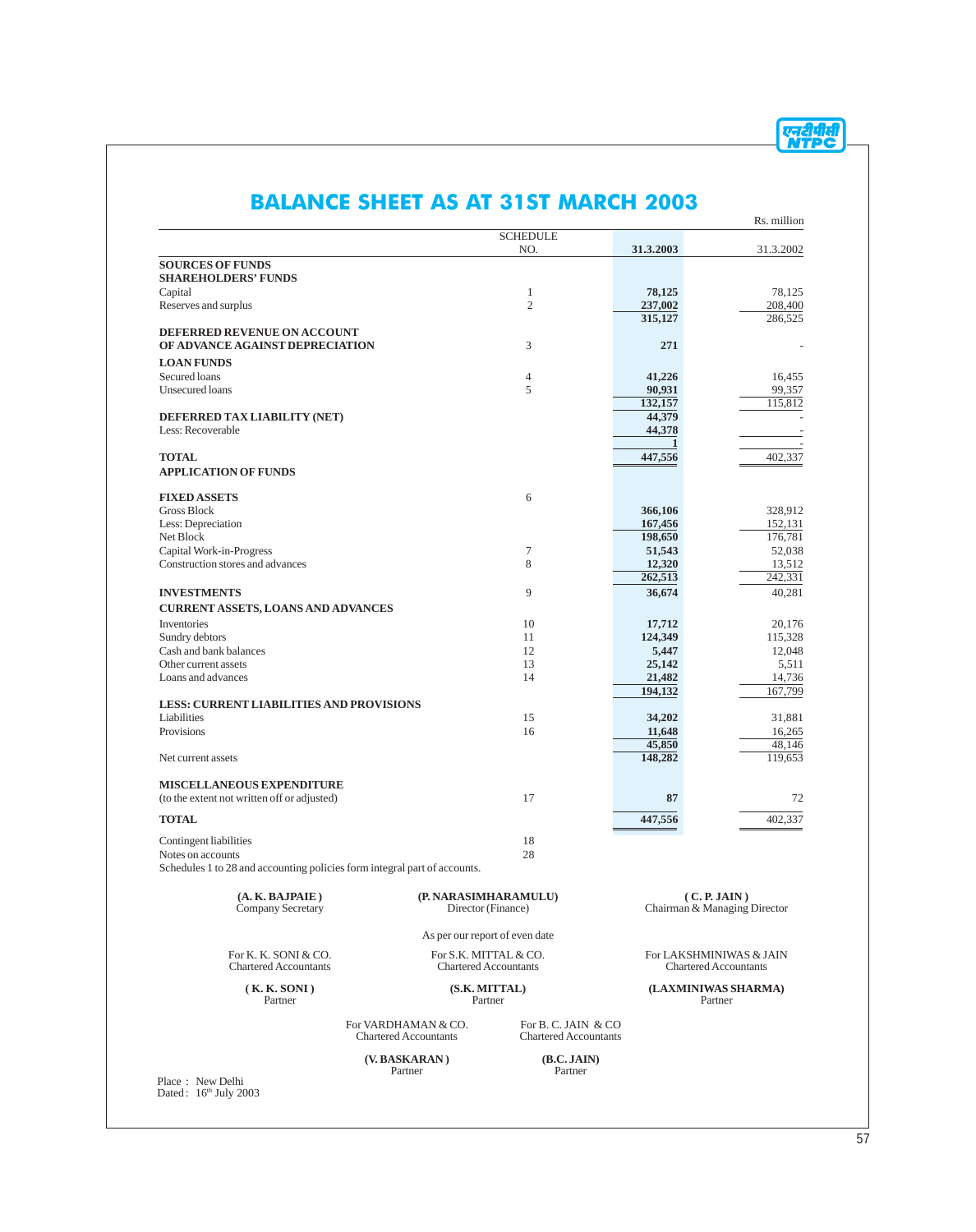|                                                                           |                                            |                              |                                              | Rs. million      |
|---------------------------------------------------------------------------|--------------------------------------------|------------------------------|----------------------------------------------|------------------|
|                                                                           |                                            | <b>SCHEDULE</b><br>NO.       | 31.3.2003                                    | 31.3.2002        |
| <b>SOURCES OF FUNDS</b>                                                   |                                            |                              |                                              |                  |
| <b>SHAREHOLDERS' FUNDS</b>                                                |                                            |                              |                                              |                  |
| Capital                                                                   |                                            | $\mathbf{1}$                 | 78,125                                       | 78,125           |
| Reserves and surplus                                                      |                                            | $\overline{2}$               | 237,002                                      | 208,400          |
|                                                                           |                                            |                              | 315,127                                      | 286,525          |
| DEFERRED REVENUE ON ACCOUNT                                               |                                            |                              |                                              |                  |
| OF ADVANCE AGAINST DEPRECIATION                                           |                                            | 3                            | 271                                          |                  |
| <b>LOAN FUNDS</b>                                                         |                                            |                              |                                              |                  |
| Secured loans                                                             |                                            | 4                            | 41,226                                       | 16.455           |
| Unsecured loans                                                           |                                            | 5                            | 90,931                                       | 99,357           |
|                                                                           |                                            |                              | 132,157                                      | 115,812          |
| DEFERRED TAX LIABILITY (NET)                                              |                                            |                              | 44,379                                       |                  |
| Less: Recoverable                                                         |                                            |                              | 44,378                                       |                  |
| <b>TOTAL</b>                                                              |                                            |                              | 447,556                                      | 402,337          |
| <b>APPLICATION OF FUNDS</b>                                               |                                            |                              |                                              |                  |
|                                                                           |                                            |                              |                                              |                  |
| <b>FIXED ASSETS</b>                                                       |                                            | 6                            |                                              |                  |
| <b>Gross Block</b>                                                        |                                            |                              | 366,106                                      | 328,912          |
| Less: Depreciation                                                        |                                            |                              | 167,456                                      | 152,131          |
| Net Block                                                                 |                                            |                              | 198,650                                      | 176,781          |
| Capital Work-in-Progress                                                  |                                            | 7                            | 51,543                                       | 52,038           |
| Construction stores and advances                                          |                                            | 8                            | 12,320                                       | 13,512           |
|                                                                           |                                            |                              | 262,513                                      | 242,331          |
| <b>INVESTMENTS</b>                                                        |                                            | 9                            | 36,674                                       | 40,281           |
| <b>CURRENT ASSETS, LOANS AND ADVANCES</b>                                 |                                            |                              |                                              |                  |
| Inventories                                                               |                                            | 10                           | 17,712                                       | 20,176           |
| Sundry debtors                                                            |                                            | 11                           | 124,349                                      | 115,328          |
| Cash and bank balances                                                    |                                            | 12                           | 5,447                                        | 12,048           |
| Other current assets                                                      |                                            | 13                           | 25,142                                       | 5,511            |
| Loans and advances                                                        |                                            | 14                           | 21,482                                       | 14,736           |
|                                                                           |                                            |                              | 194,132                                      | 167,799          |
| <b>LESS: CURRENT LIABILITIES AND PROVISIONS</b><br>Liabilities            |                                            | 15                           |                                              |                  |
| Provisions                                                                |                                            | 16                           | 34,202<br>11,648                             | 31,881<br>16,265 |
|                                                                           |                                            |                              | 45,850                                       | 48.146           |
| Net current assets                                                        |                                            |                              | 148,282                                      | 119,653          |
|                                                                           |                                            |                              |                                              |                  |
| <b>MISCELLANEOUS EXPENDITURE</b>                                          |                                            |                              |                                              |                  |
| (to the extent not written off or adjusted)                               |                                            | 17                           | 87                                           | 72               |
| <b>TOTAL</b>                                                              |                                            |                              | 447,556                                      | 402,337          |
|                                                                           |                                            |                              |                                              |                  |
| Contingent liabilities                                                    |                                            | 18                           |                                              |                  |
| Notes on accounts                                                         |                                            | 28                           |                                              |                  |
| Schedules 1 to 28 and accounting policies form integral part of accounts. |                                            |                              |                                              |                  |
|                                                                           |                                            |                              |                                              |                  |
| (A. K. BAJPAIE)<br>Company Secretary                                      | (P. NARASIMHARAMULU)<br>Director (Finance) |                              | (C. P. JAIN)<br>Chairman & Managing Director |                  |
|                                                                           |                                            |                              |                                              |                  |
|                                                                           | As per our report of even date             |                              |                                              |                  |
| For K. K. SONI & CO.                                                      | For S.K. MITTAL & CO.                      |                              | For LAKSHMINIWAS & JAIN                      |                  |
| <b>Chartered Accountants</b>                                              | <b>Chartered Accountants</b>               |                              | <b>Chartered Accountants</b>                 |                  |
|                                                                           |                                            |                              |                                              |                  |
| (K. K. SONI)<br>Partner                                                   | (S.K. MITTAL)<br>Partner                   |                              | (LAXMINIWAS SHARMA)<br>Partner               |                  |
|                                                                           |                                            |                              |                                              |                  |
|                                                                           | For VARDHAMAN & CO.                        | For B. C. JAIN & CO          |                                              |                  |
|                                                                           | <b>Chartered Accountants</b>               | <b>Chartered Accountants</b> |                                              |                  |
|                                                                           |                                            |                              |                                              |                  |
|                                                                           | (V. BASKARAN)                              | (B.C.JAIN)                   |                                              |                  |

#### **ALANCE SHEET AS AT 31ST MARCH 2003**

एनदीपीसी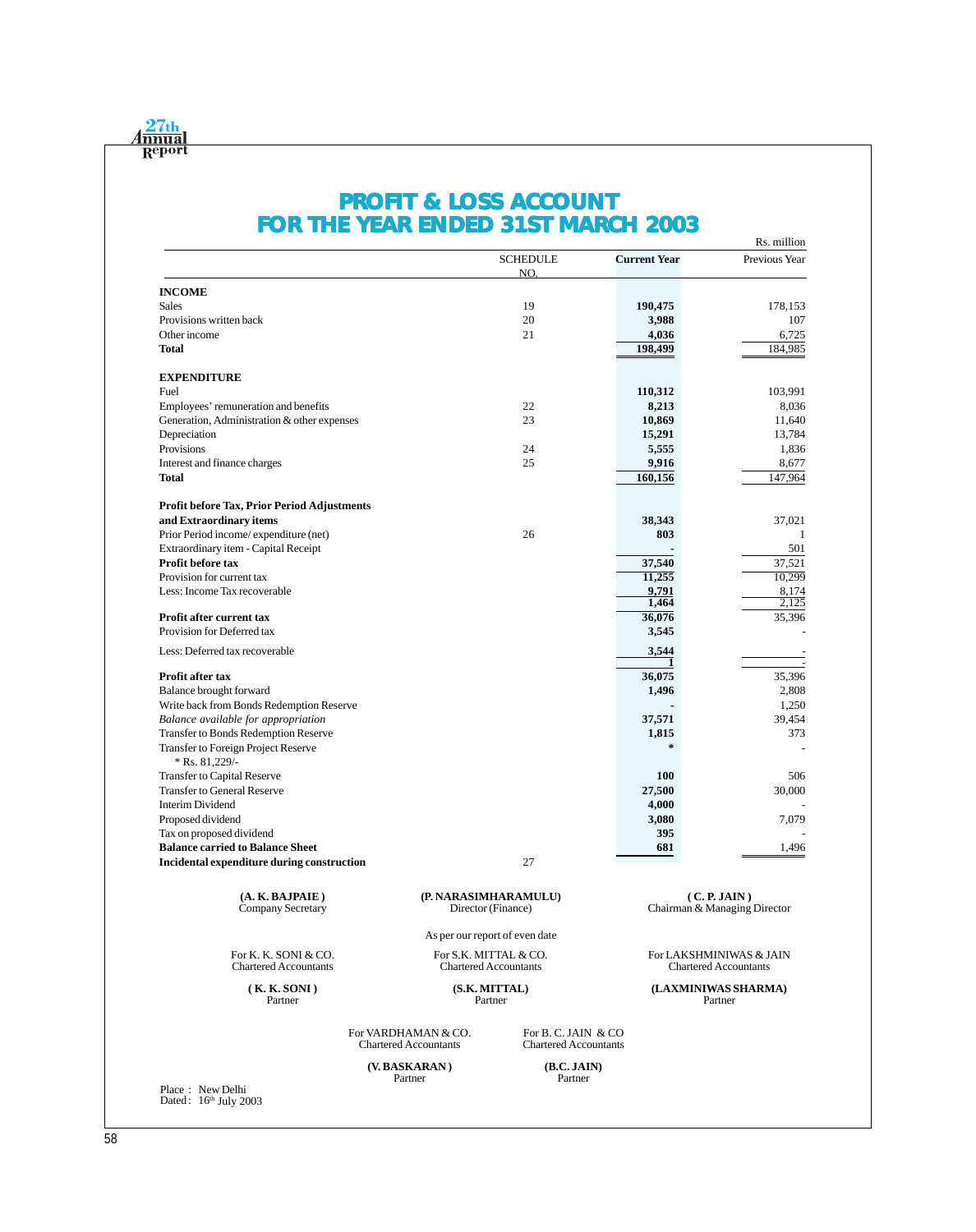

# **PROFIT & LOSS ACCOUNT FOR THE YEAR ENDED 31ST MARCH 2003**

|                                                         |                                                     |                                                     |                     | Rs. million                                  |
|---------------------------------------------------------|-----------------------------------------------------|-----------------------------------------------------|---------------------|----------------------------------------------|
|                                                         |                                                     | <b>SCHEDULE</b><br>NO.                              | <b>Current Year</b> | Previous Year                                |
| <b>INCOME</b>                                           |                                                     |                                                     |                     |                                              |
| <b>Sales</b>                                            |                                                     | 19                                                  | 190,475             | 178,153                                      |
| Provisions written back                                 |                                                     | 20                                                  | 3,988               | 107                                          |
| Other income                                            |                                                     | 21                                                  | 4,036               | 6,725                                        |
| <b>Total</b>                                            |                                                     |                                                     | 198,499             | 184,985                                      |
|                                                         |                                                     |                                                     |                     |                                              |
| <b>EXPENDITURE</b>                                      |                                                     |                                                     |                     |                                              |
| Fuel                                                    |                                                     |                                                     | 110,312             | 103,991                                      |
| Employees' remuneration and benefits                    |                                                     | 22                                                  | 8,213               | 8,036                                        |
| Generation, Administration & other expenses             |                                                     | 23                                                  | 10,869              | 11,640                                       |
| Depreciation                                            |                                                     |                                                     | 15,291              | 13,784                                       |
| Provisions                                              |                                                     | 24                                                  | 5,555               | 1,836                                        |
| Interest and finance charges                            |                                                     | 25                                                  | 9,916               | 8,677                                        |
| <b>Total</b>                                            |                                                     |                                                     | 160,156             | 147,964                                      |
| <b>Profit before Tax, Prior Period Adjustments</b>      |                                                     |                                                     |                     |                                              |
| and Extraordinary items                                 |                                                     |                                                     | 38,343              | 37,021                                       |
| Prior Period income/expenditure (net)                   |                                                     | 26                                                  | 803                 | 1                                            |
| Extraordinary item - Capital Receipt                    |                                                     |                                                     |                     | 501                                          |
| Profit before tax                                       |                                                     |                                                     | 37,540              | 37,521                                       |
| Provision for current tax                               |                                                     |                                                     | 11,255              | 10,299                                       |
| Less: Income Tax recoverable                            |                                                     |                                                     | 9,791               | 8,174                                        |
|                                                         |                                                     |                                                     | 1,464               | 2,125                                        |
| Profit after current tax                                |                                                     |                                                     | 36,076              | 35,396                                       |
| Provision for Deferred tax                              |                                                     |                                                     | 3,545               |                                              |
| Less: Deferred tax recoverable                          |                                                     |                                                     | 3,544               |                                              |
| Profit after tax                                        |                                                     |                                                     | 36,075              | 35,396                                       |
| Balance brought forward                                 |                                                     |                                                     | 1,496               | 2,808                                        |
| Write back from Bonds Redemption Reserve                |                                                     |                                                     |                     | 1,250                                        |
| Balance available for appropriation                     |                                                     |                                                     | 37,571              | 39,454                                       |
| Transfer to Bonds Redemption Reserve                    |                                                     |                                                     | 1,815               | 373                                          |
| Transfer to Foreign Project Reserve<br>$*$ Rs. 81,229/- |                                                     |                                                     | $\star$             |                                              |
| Transfer to Capital Reserve                             |                                                     |                                                     | <b>100</b>          | 506                                          |
| <b>Transfer to General Reserve</b>                      |                                                     |                                                     | 27,500              | 30,000                                       |
| <b>Interim Dividend</b>                                 |                                                     |                                                     | 4,000               |                                              |
| Proposed dividend                                       |                                                     |                                                     | 3,080               | 7,079                                        |
| Tax on proposed dividend                                |                                                     |                                                     | 395                 |                                              |
| <b>Balance carried to Balance Sheet</b>                 |                                                     |                                                     | 681                 | 1,496                                        |
| Incidental expenditure during construction              |                                                     | 27                                                  |                     |                                              |
|                                                         |                                                     |                                                     |                     |                                              |
| (A. K. BAJPAIE)<br>Company Secretary                    | (P. NARASIMHARAMULU)<br>Director (Finance)          |                                                     |                     | (C. P. JAIN)<br>Chairman & Managing Director |
|                                                         | As per our report of even date                      |                                                     |                     |                                              |
| For K. K. SONI & CO.                                    | For S.K. MITTAL & CO.                               |                                                     |                     | For LAKSHMINIWAS & JAIN                      |
| <b>Chartered Accountants</b>                            | <b>Chartered Accountants</b>                        |                                                     |                     | <b>Chartered Accountants</b>                 |
| (K. K. SONI)<br>Partner                                 | (S.K. MITTAL)<br>Partner                            |                                                     |                     | (LAXMINIWAS SHARMA)<br>Partner               |
|                                                         | For VARDHAMAN & CO.<br><b>Chartered Accountants</b> | For B. C. JAIN & CO<br><b>Chartered Accountants</b> |                     |                                              |
|                                                         | (V. BASKARAN)                                       | (B.C.JAIN)                                          |                     |                                              |
|                                                         | Partner                                             | Partner                                             |                     |                                              |
| Place: New Delhi<br>Dated: 16th July 2003               |                                                     |                                                     |                     |                                              |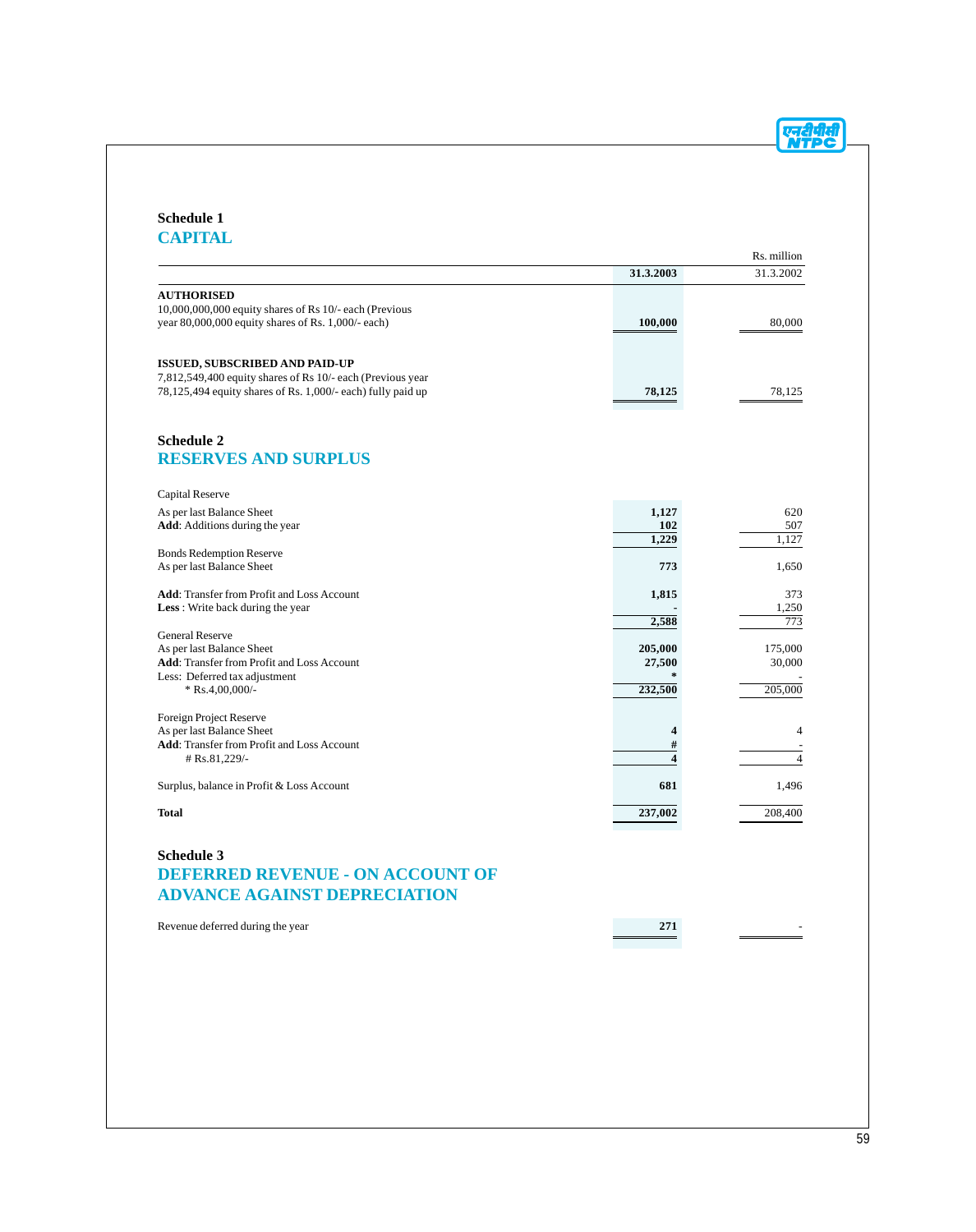Rs. million

#### **Schedule 1 CAPITAL**

# **31.3.2003** 31.3.2002 **AUTHORISED** 10,000,000,000 equity shares of Rs 10/- each (Previous year 80,000,000 equity shares of Rs. 1,000/- each) **100,000** 80,000 **ISSUED, SUBSCRIBED AND PAID-UP** 7,812,549,400 equity shares of Rs 10/- each (Previous year 78,125,494 equity shares of Rs. 1,000/- each) fully paid up **78,125** 78,125 **Schedule 2 RESERVES AND SURPLUS** Capital Reserve As per last Balance Sheet **1,127** 620<br> **Add**: Additions during the year **102** 507 **Add**: Additions during the year **102** 507<br>1,229  $\overline{1,127}$ **1,229** Bonds Redemption Reserve As per last Balance Sheet **773** 1,650 **Add**: Transfer from Profit and Loss Account **1,815** 373<br> **Less**: Write back during the year 1,250 Less : Write back during the year **1,250**<br>2,588 **-** 1,250  $2,588$ General Reserve As per last Balance Sheet **205,000** 175,000 175,000 175,000 175,000 175,000 175,000 175,000 175,000 175,000 175,000 175,000 1 Add: Transfer from Profit and Loss Account

Less: Deferred tax adjustment **\***  $R_{\text{S}}4,00,000/2$  **232,500**  $\frac{1}{2}$   $\frac{1}{205,000}$   $\frac{1}{205,000}$   $\frac{1}{205,000}$ \* Rs.4,00,000/-Foreign Project Reserve As per last Balance Sheet **4** 4 **Add**: Transfer from Profit and Loss Account **#** - # Rs.81,229/- **4** 4 Surplus, balance in Profit & Loss Account **681** 1,496 **Total 237,002** 208,400

## **Schedule 3 DEFERRED REVENUE - ON ACCOUNT OF ADVANCE AGAINST DEPRECIATION**

| Revenue deferred during the year | $\bigwedge$ |  |
|----------------------------------|-------------|--|
|                                  |             |  |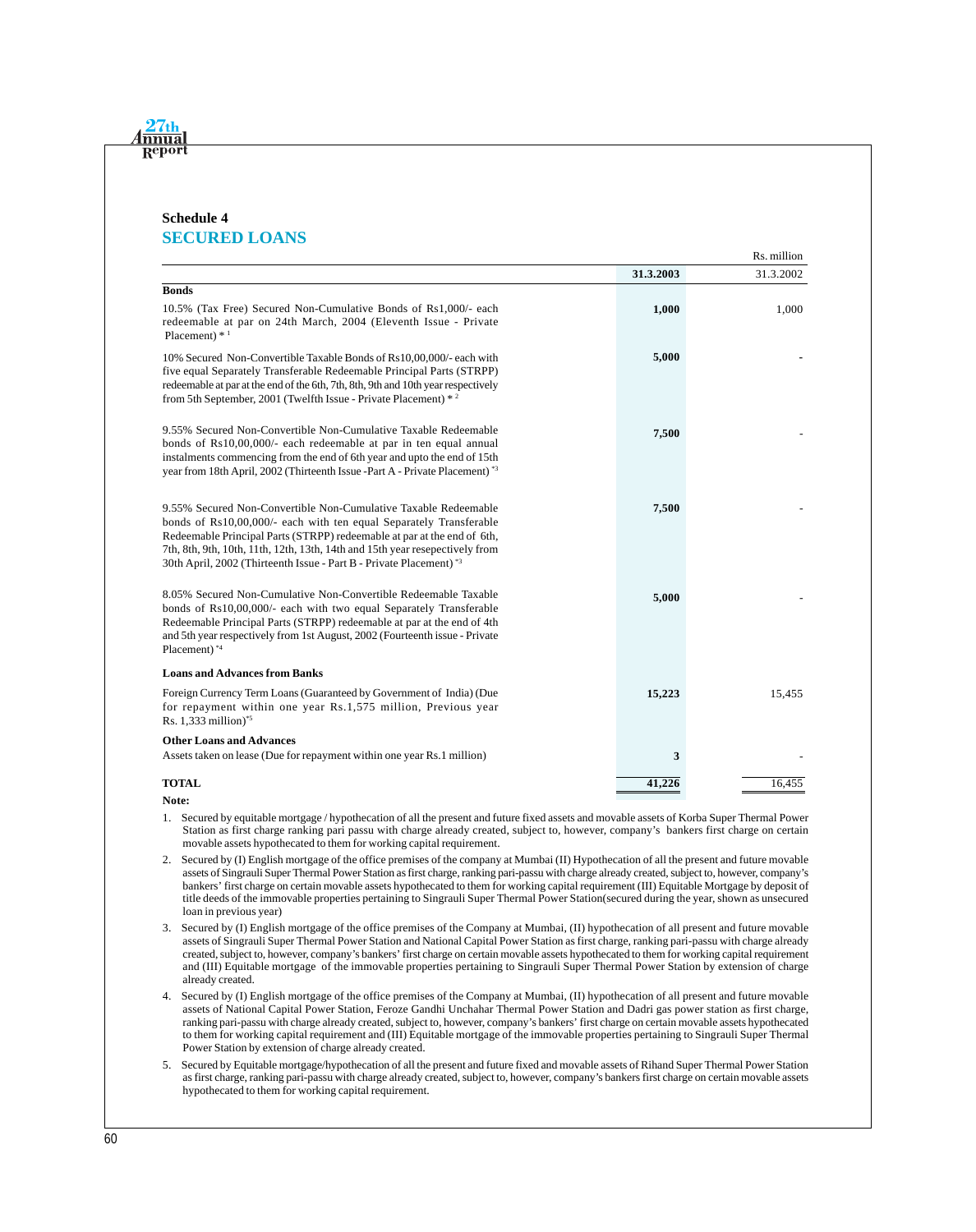#### **Schedule 4 SECURED LOANS**

<u>nnua</u>  $\overline{\mathbf{R}}$ ep

| Rs. million                                                                                                                                                                                                                                                                                                                                                                        |           |           |  |
|------------------------------------------------------------------------------------------------------------------------------------------------------------------------------------------------------------------------------------------------------------------------------------------------------------------------------------------------------------------------------------|-----------|-----------|--|
|                                                                                                                                                                                                                                                                                                                                                                                    | 31.3.2003 | 31.3.2002 |  |
| <b>Bonds</b>                                                                                                                                                                                                                                                                                                                                                                       |           |           |  |
| 10.5% (Tax Free) Secured Non-Cumulative Bonds of Rs1,000/- each<br>redeemable at par on 24th March, 2004 (Eleventh Issue - Private<br>Placement) $*1$                                                                                                                                                                                                                              | 1,000     | 1,000     |  |
| 10% Secured Non-Convertible Taxable Bonds of Rs10,00,000/- each with<br>five equal Separately Transferable Redeemable Principal Parts (STRPP)<br>redeemable at par at the end of the 6th, 7th, 8th, 9th and 10th year respectively<br>from 5th September, 2001 (Twelfth Issue - Private Placement) * 2                                                                             | 5,000     |           |  |
| 9.55% Secured Non-Convertible Non-Cumulative Taxable Redeemable<br>bonds of Rs10,00,000/- each redeemable at par in ten equal annual<br>instalments commencing from the end of 6th year and upto the end of 15th<br>year from 18th April, 2002 (Thirteenth Issue -Part A - Private Placement) *3                                                                                   | 7,500     |           |  |
| 9.55% Secured Non-Convertible Non-Cumulative Taxable Redeemable<br>bonds of Rs10,00,000/- each with ten equal Separately Transferable<br>Redeemable Principal Parts (STRPP) redeemable at par at the end of 6th,<br>7th, 8th, 9th, 10th, 11th, 12th, 13th, 14th and 15th year resepectively from<br>30th April, 2002 (Thirteenth Issue - Part B - Private Placement) <sup>*3</sup> | 7,500     |           |  |
| 8.05% Secured Non-Cumulative Non-Convertible Redeemable Taxable<br>bonds of Rs10,00,000/- each with two equal Separately Transferable<br>Redeemable Principal Parts (STRPP) redeemable at par at the end of 4th<br>and 5th year respectively from 1st August, 2002 (Fourteenth issue - Private<br>Placement) *4                                                                    | 5,000     |           |  |
| <b>Loans and Advances from Banks</b>                                                                                                                                                                                                                                                                                                                                               |           |           |  |
| Foreign Currency Term Loans (Guaranteed by Government of India) (Due<br>for repayment within one year Rs.1,575 million, Previous year<br>Rs. 1,333 million)*5                                                                                                                                                                                                                      | 15,223    | 15,455    |  |
| <b>Other Loans and Advances</b>                                                                                                                                                                                                                                                                                                                                                    |           |           |  |
| Assets taken on lease (Due for repayment within one year Rs.1 million)                                                                                                                                                                                                                                                                                                             | 3         |           |  |
| <b>TOTAL</b>                                                                                                                                                                                                                                                                                                                                                                       | 41,226    | 16,455    |  |

**Note:**

- 1. Secured by equitable mortgage / hypothecation of all the present and future fixed assets and movable assets of Korba Super Thermal Power Station as first charge ranking pari passu with charge already created, subject to, however, company's bankers first charge on certain movable assets hypothecated to them for working capital requirement.
- 2. Secured by (I) English mortgage of the office premises of the company at Mumbai (II) Hypothecation of all the present and future movable assets of Singrauli Super Thermal Power Station as first charge, ranking pari-passu with charge already created, subject to, however, company's bankers' first charge on certain movable assets hypothecated to them for working capital requirement (III) Equitable Mortgage by deposit of title deeds of the immovable properties pertaining to Singrauli Super Thermal Power Station(secured during the year, shown as unsecured loan in previous year)
- 3. Secured by (I) English mortgage of the office premises of the Company at Mumbai, (II) hypothecation of all present and future movable assets of Singrauli Super Thermal Power Station and National Capital Power Station as first charge, ranking pari-passu with charge already created, subject to, however, company's bankers' first charge on certain movable assets hypothecated to them for working capital requirement and (III) Equitable mortgage of the immovable properties pertaining to Singrauli Super Thermal Power Station by extension of charge already created.
- 4. Secured by (I) English mortgage of the office premises of the Company at Mumbai, (II) hypothecation of all present and future movable assets of National Capital Power Station, Feroze Gandhi Unchahar Thermal Power Station and Dadri gas power station as first charge, ranking pari-passu with charge already created, subject to, however, company's bankers' first charge on certain movable assets hypothecated to them for working capital requirement and (III) Equitable mortgage of the immovable properties pertaining to Singrauli Super Thermal Power Station by extension of charge already created.
- 5. Secured by Equitable mortgage/hypothecation of all the present and future fixed and movable assets of Rihand Super Thermal Power Station as first charge, ranking pari-passu with charge already created, subject to, however, company's bankers first charge on certain movable assets hypothecated to them for working capital requirement.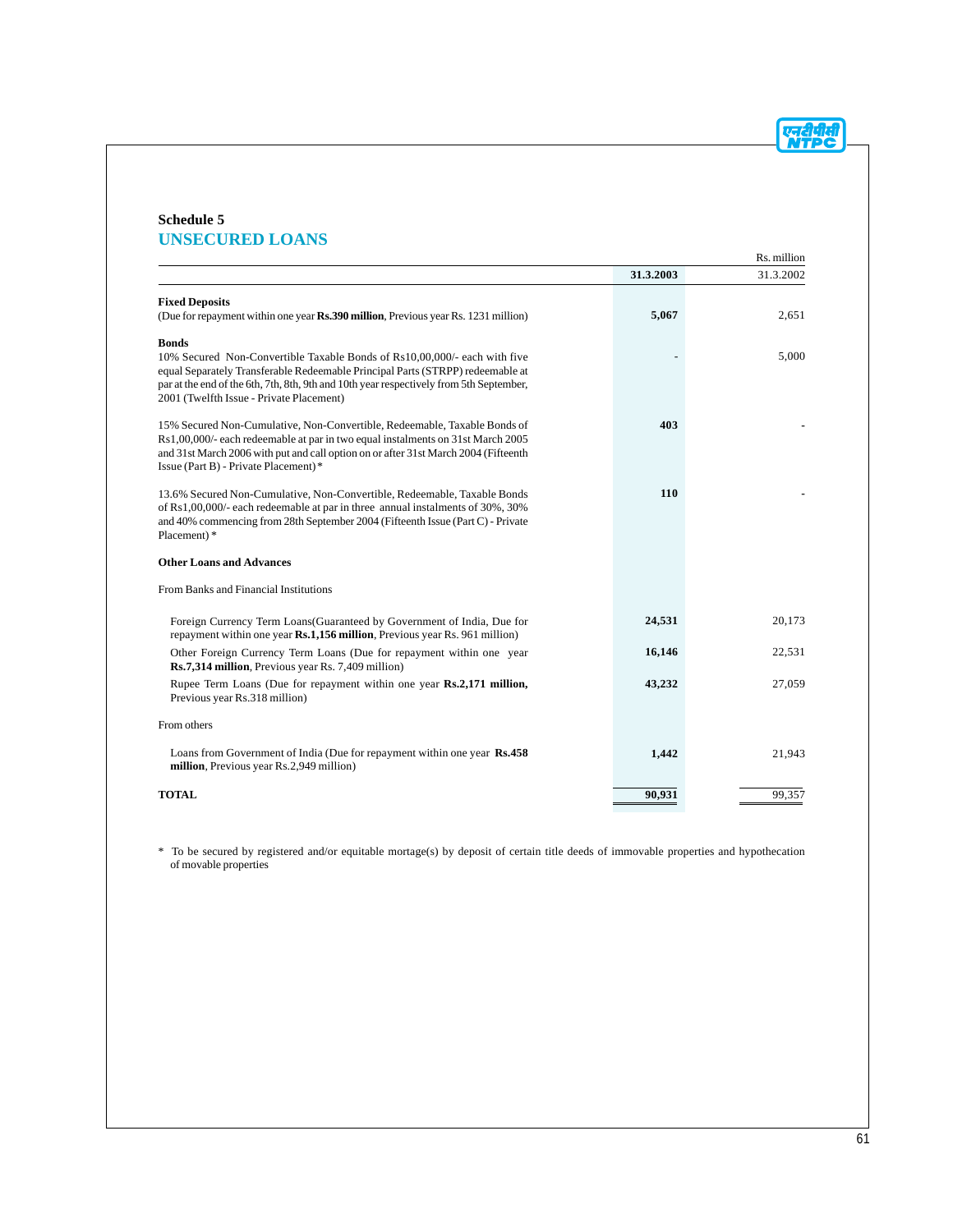एनदीपीसी

### **Schedule 5 UNSECURED LOANS**

| Rs. million                                                                                                                                                                                                                                                                                                        |           |           |  |  |
|--------------------------------------------------------------------------------------------------------------------------------------------------------------------------------------------------------------------------------------------------------------------------------------------------------------------|-----------|-----------|--|--|
|                                                                                                                                                                                                                                                                                                                    | 31.3.2003 | 31.3.2002 |  |  |
| <b>Fixed Deposits</b><br>(Due for repayment within one year Rs.390 million, Previous year Rs. 1231 million)                                                                                                                                                                                                        | 5,067     | 2,651     |  |  |
| <b>Bonds</b><br>10% Secured Non-Convertible Taxable Bonds of Rs10,00,000/- each with five<br>equal Separately Transferable Redeemable Principal Parts (STRPP) redeemable at<br>par at the end of the 6th, 7th, 8th, 9th and 10th year respectively from 5th September,<br>2001 (Twelfth Issue - Private Placement) |           | 5,000     |  |  |
| 15% Secured Non-Cumulative, Non-Convertible, Redeemable, Taxable Bonds of<br>Rs1,00,000/- each redeemable at par in two equal instalments on 31st March 2005<br>and 31st March 2006 with put and call option on or after 31st March 2004 (Fifteenth<br>Issue (Part B) - Private Placement)*                        | 403       |           |  |  |
| 13.6% Secured Non-Cumulative, Non-Convertible, Redeemable, Taxable Bonds<br>of Rs1,00,000/- each redeemable at par in three annual instalments of 30%, 30%<br>and 40% commencing from 28th September 2004 (Fifteenth Issue (Part C) - Private<br>Placement)*                                                       | 110       |           |  |  |
| <b>Other Loans and Advances</b>                                                                                                                                                                                                                                                                                    |           |           |  |  |
| From Banks and Financial Institutions                                                                                                                                                                                                                                                                              |           |           |  |  |
| Foreign Currency Term Loans (Guaranteed by Government of India, Due for<br>repayment within one year Rs.1,156 million, Previous year Rs. 961 million)                                                                                                                                                              | 24,531    | 20,173    |  |  |
| Other Foreign Currency Term Loans (Due for repayment within one year<br>Rs.7,314 million, Previous year Rs. 7,409 million)                                                                                                                                                                                         | 16,146    | 22,531    |  |  |
| Rupee Term Loans (Due for repayment within one year Rs.2,171 million,<br>Previous year Rs.318 million)                                                                                                                                                                                                             | 43,232    | 27,059    |  |  |
| From others                                                                                                                                                                                                                                                                                                        |           |           |  |  |
| Loans from Government of India (Due for repayment within one year Rs.458)<br>million, Previous year Rs.2,949 million)                                                                                                                                                                                              | 1,442     | 21,943    |  |  |
| <b>TOTAL</b>                                                                                                                                                                                                                                                                                                       | 90,931    | 99.357    |  |  |

\* To be secured by registered and/or equitable mortage(s) by deposit of certain title deeds of immovable properties and hypothecation of movable properties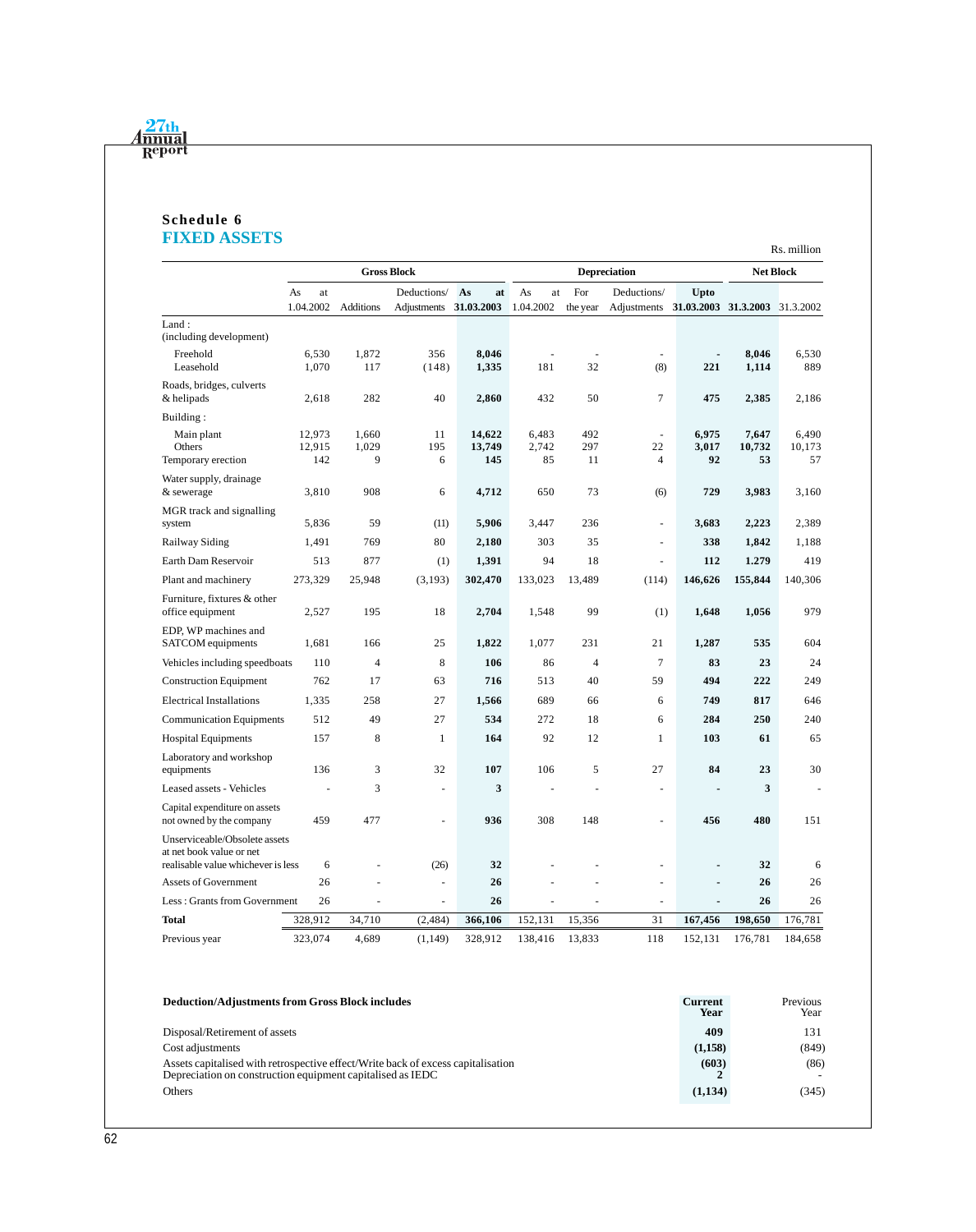

#### **Schedule 6 FIXED ASSETS**

|                                                                                                 |                         |                     |                    |                         |                      |                     |                            |                                |                       | Rs. million           |
|-------------------------------------------------------------------------------------------------|-------------------------|---------------------|--------------------|-------------------------|----------------------|---------------------|----------------------------|--------------------------------|-----------------------|-----------------------|
|                                                                                                 |                         |                     | <b>Gross Block</b> |                         |                      | <b>Depreciation</b> |                            |                                | <b>Net Block</b>      |                       |
|                                                                                                 | As<br>at                |                     | Deductions/        | As<br>at                | As<br>at             | For                 | Deductions/                | Upto                           |                       |                       |
|                                                                                                 | 1.04.2002               | <b>Additions</b>    | Adjustments        | 31.03.2003              | 1.04.2002            | the year            | Adjustments                | 31.03.2003 31.3.2003 31.3.2002 |                       |                       |
| Land:<br>(including development)                                                                |                         |                     |                    |                         |                      |                     |                            |                                |                       |                       |
| Freehold<br>Leasehold                                                                           | 6,530<br>1,070          | 1,872<br>117        | 356<br>(148)       | 8,046<br>1,335          | 181                  | 32                  | (8)                        | $\blacksquare$<br>221          | 8,046<br>1,114        | 6,530<br>889          |
| Roads, bridges, culverts<br>& helipads                                                          | 2,618                   | 282                 | 40                 | 2,860                   | 432                  | 50                  | $\tau$                     | 475                            | 2,385                 | 2,186                 |
| Building:                                                                                       |                         |                     |                    |                         |                      |                     |                            |                                |                       |                       |
| Main plant<br>Others<br>Temporary erection                                                      | 12,973<br>12,915<br>142 | 1,660<br>1,029<br>9 | 11<br>195<br>6     | 14,622<br>13,749<br>145 | 6,483<br>2,742<br>85 | 492<br>297<br>11    | ÷,<br>22<br>$\overline{4}$ | 6,975<br>3,017<br>92           | 7,647<br>10,732<br>53 | 6,490<br>10,173<br>57 |
| Water supply, drainage<br>& sewerage                                                            | 3,810                   | 908                 | 6                  | 4,712                   | 650                  | 73                  | (6)                        | 729                            | 3,983                 | 3,160                 |
| MGR track and signalling<br>system                                                              | 5,836                   | 59                  | (11)               | 5,906                   | 3,447                | 236                 | $\overline{a}$             | 3,683                          | 2,223                 | 2,389                 |
| Railway Siding                                                                                  | 1,491                   | 769                 | 80                 | 2,180                   | 303                  | 35                  | ٠                          | 338                            | 1,842                 | 1,188                 |
| Earth Dam Reservoir                                                                             | 513                     | 877                 | (1)                | 1,391                   | 94                   | 18                  | $\overline{a}$             | 112                            | 1.279                 | 419                   |
| Plant and machinery                                                                             | 273,329                 | 25,948              | (3,193)            | 302,470                 | 133,023              | 13,489              | (114)                      | 146,626                        | 155,844               | 140,306               |
| Furniture, fixtures & other<br>office equipment                                                 | 2,527                   | 195                 | 18                 | 2,704                   | 1,548                | 99                  | (1)                        | 1,648                          | 1,056                 | 979                   |
| EDP, WP machines and<br>SATCOM equipments                                                       | 1,681                   | 166                 | 25                 | 1,822                   | 1,077                | 231                 | 21                         | 1,287                          | 535                   | 604                   |
| Vehicles including speedboats                                                                   | 110                     | $\overline{4}$      | 8                  | 106                     | 86                   | $\overline{4}$      | $\tau$                     | 83                             | 23                    | 24                    |
| <b>Construction Equipment</b>                                                                   | 762                     | 17                  | 63                 | 716                     | 513                  | 40                  | 59                         | 494                            | 222                   | 249                   |
| <b>Electrical Installations</b>                                                                 | 1,335                   | 258                 | 27                 | 1,566                   | 689                  | 66                  | 6                          | 749                            | 817                   | 646                   |
| <b>Communication Equipments</b>                                                                 | 512                     | 49                  | 27                 | 534                     | 272                  | 18                  | 6                          | 284                            | 250                   | 240                   |
| <b>Hospital Equipments</b>                                                                      | 157                     | 8                   | $\mathbf{1}$       | 164                     | 92                   | 12                  | $\mathbf{1}$               | 103                            | 61                    | 65                    |
| Laboratory and workshop<br>equipments                                                           | 136                     | 3                   | 32                 | 107                     | 106                  | 5                   | 27                         | 84                             | 23                    | 30                    |
| Leased assets - Vehicles                                                                        |                         | 3                   |                    | 3                       |                      |                     | $\overline{a}$             |                                | 3                     |                       |
| Capital expenditure on assets<br>not owned by the company                                       | 459                     | 477                 |                    | 936                     | 308                  | 148                 | $\overline{a}$             | 456                            | 480                   | 151                   |
| Unserviceable/Obsolete assets<br>at net book value or net<br>realisable value whichever is less | 6                       |                     | (26)               | 32                      |                      |                     |                            | ٠                              | 32                    | 6                     |
| Assets of Government                                                                            | 26                      |                     |                    | 26                      |                      |                     | ÷,                         |                                | 26                    | 26                    |
| Less: Grants from Government                                                                    | 26                      |                     |                    | 26                      |                      |                     | -                          |                                | 26                    | 26                    |
| <b>Total</b>                                                                                    | 328,912                 | 34,710              | (2,484)            | 366,106                 | 152,131              | 15,356              | 31                         | 167,456                        | 198,650               | 176,781               |
| Previous year                                                                                   | 323,074                 | 4,689               | (1,149)            | 328,912                 | 138,416              | 13,833              | 118                        | 152,131                        | 176,781               | 184,658               |

| <b>Deduction/Adjustments from Gross Block includes</b>                                                                                         | <b>Current</b><br>Year | Previous<br>Year |
|------------------------------------------------------------------------------------------------------------------------------------------------|------------------------|------------------|
| Disposal/Retirement of assets                                                                                                                  | 409                    | 131              |
| Cost adjustments                                                                                                                               | (1,158)                | (849)            |
| Assets capitalised with retrospective effect/Write back of excess capitalisation<br>Depreciation on construction equipment capitalised as IEDC | (603)                  | (86)             |
| <b>Others</b>                                                                                                                                  | (1,134)                | (345)            |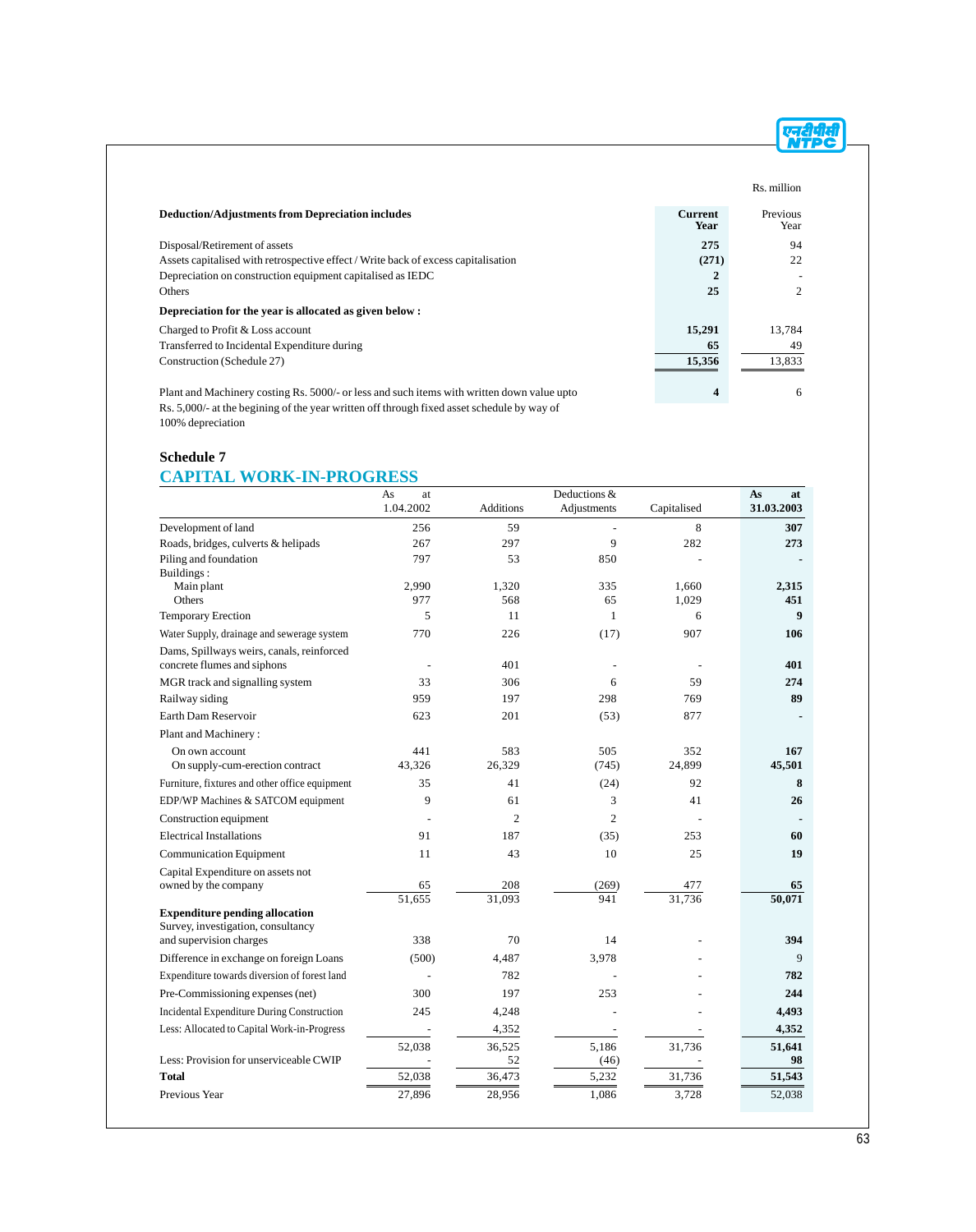|                                                                                            |                        | Rs. million      |
|--------------------------------------------------------------------------------------------|------------------------|------------------|
| <b>Deduction/Adjustments from Depreciation includes</b>                                    | <b>Current</b><br>Year | Previous<br>Year |
| Disposal/Retirement of assets                                                              | 275                    | 94               |
| Assets capitalised with retrospective effect / Write back of excess capitalisation         | (271)                  | 22               |
| Depreciation on construction equipment capitalised as IEDC                                 |                        |                  |
| Others                                                                                     | 25                     | $\overline{c}$   |
| Depreciation for the year is allocated as given below:                                     |                        |                  |
| Charged to Profit & Loss account                                                           | 15,291                 | 13.784           |
| Transferred to Incidental Expenditure during                                               | 65                     | 49               |
| Construction (Schedule 27)                                                                 | 15,356                 | 13,833           |
| Plant and Machinery costing Rs. 5000/- or less and such items with written down value upto | 4                      | 6                |

Rs. 5,000/- at the begining of the year written off through fixed asset schedule by way of 100% depreciation

### **Schedule 7 CAPITAL WORK-IN-PROGRESS**

|                                                                             | As<br>at            | Deductions &     |                |                | As<br>at         |
|-----------------------------------------------------------------------------|---------------------|------------------|----------------|----------------|------------------|
|                                                                             | 1.04.2002           | <b>Additions</b> | Adjustments    | Capitalised    | 31.03.2003       |
| Development of land                                                         | 256                 | 59               |                | 8              | 307              |
| Roads, bridges, culverts & helipads                                         | 267                 | 297              | 9              | 282            | 273              |
| Piling and foundation                                                       | 797                 | 53               | 850            |                |                  |
| Buildings:                                                                  |                     |                  |                |                |                  |
| Main plant<br>Others                                                        | 2.990<br>977        | 1,320<br>568     | 335<br>65      | 1.660<br>1,029 | 2.315<br>451     |
| Temporary Erection                                                          | 5                   | 11               | $\mathbf{1}$   | 6              | $\boldsymbol{9}$ |
| Water Supply, drainage and sewerage system                                  | 770                 | 226              | (17)           | 907            | 106              |
| Dams, Spillways weirs, canals, reinforced<br>concrete flumes and siphons    | $\overline{a}$      | 401              | Ĭ.             |                | 401              |
| MGR track and signalling system                                             | 33                  | 306              | 6              | 59             | 274              |
| Railway siding                                                              | 959                 | 197              | 298            | 769            | 89               |
| Earth Dam Reservoir                                                         | 623                 | 201              | (53)           | 877            |                  |
| Plant and Machinery:                                                        |                     |                  |                |                |                  |
| On own account                                                              | 441                 | 583              | 505            | 352            | 167              |
| On supply-cum-erection contract                                             | 43,326              | 26,329           | (745)          | 24,899         | 45,501           |
| Furniture, fixtures and other office equipment                              | 35                  | 41               | (24)           | 92             | 8                |
| EDP/WP Machines & SATCOM equipment                                          | 9                   | 61               | 3              | 41             | 26               |
| Construction equipment                                                      |                     | $\overline{2}$   | $\overline{2}$ |                |                  |
| <b>Electrical Installations</b>                                             | 91                  | 187              | (35)           | 253            | 60               |
| <b>Communication Equipment</b>                                              | 11                  | 43               | 10             | 25             | 19               |
| Capital Expenditure on assets not                                           |                     |                  |                |                |                  |
| owned by the company                                                        | 65                  | 208              | (269)          | 477            | 65               |
|                                                                             | $\overline{51,655}$ | 31.093           | 941            | 31,736         | 50,071           |
| <b>Expenditure pending allocation</b><br>Survey, investigation, consultancy |                     |                  |                |                |                  |
| and supervision charges                                                     | 338                 | 70               | 14             |                | 394              |
| Difference in exchange on foreign Loans                                     | (500)               | 4,487            | 3,978          |                | 9                |
| Expenditure towards diversion of forest land                                |                     | 782              |                |                | 782              |
| Pre-Commissioning expenses (net)                                            | 300                 | 197              | 253            |                | 244              |
| Incidental Expenditure During Construction                                  | 245                 | 4,248            |                |                | 4,493            |
| Less: Allocated to Capital Work-in-Progress                                 |                     | 4,352            |                |                | 4,352            |
|                                                                             | 52,038              | 36,525           | 5,186          | 31,736         | 51,641           |
| Less: Provision for unserviceable CWIP                                      |                     | 52               | (46)           |                | 98               |
| <b>Total</b>                                                                | 52,038              | 36,473           | 5,232          | 31,736         | 51,543           |
| Previous Year                                                               | 27,896              | 28,956           | 1,086          | 3,728          | 52,038           |

एनदीपीसी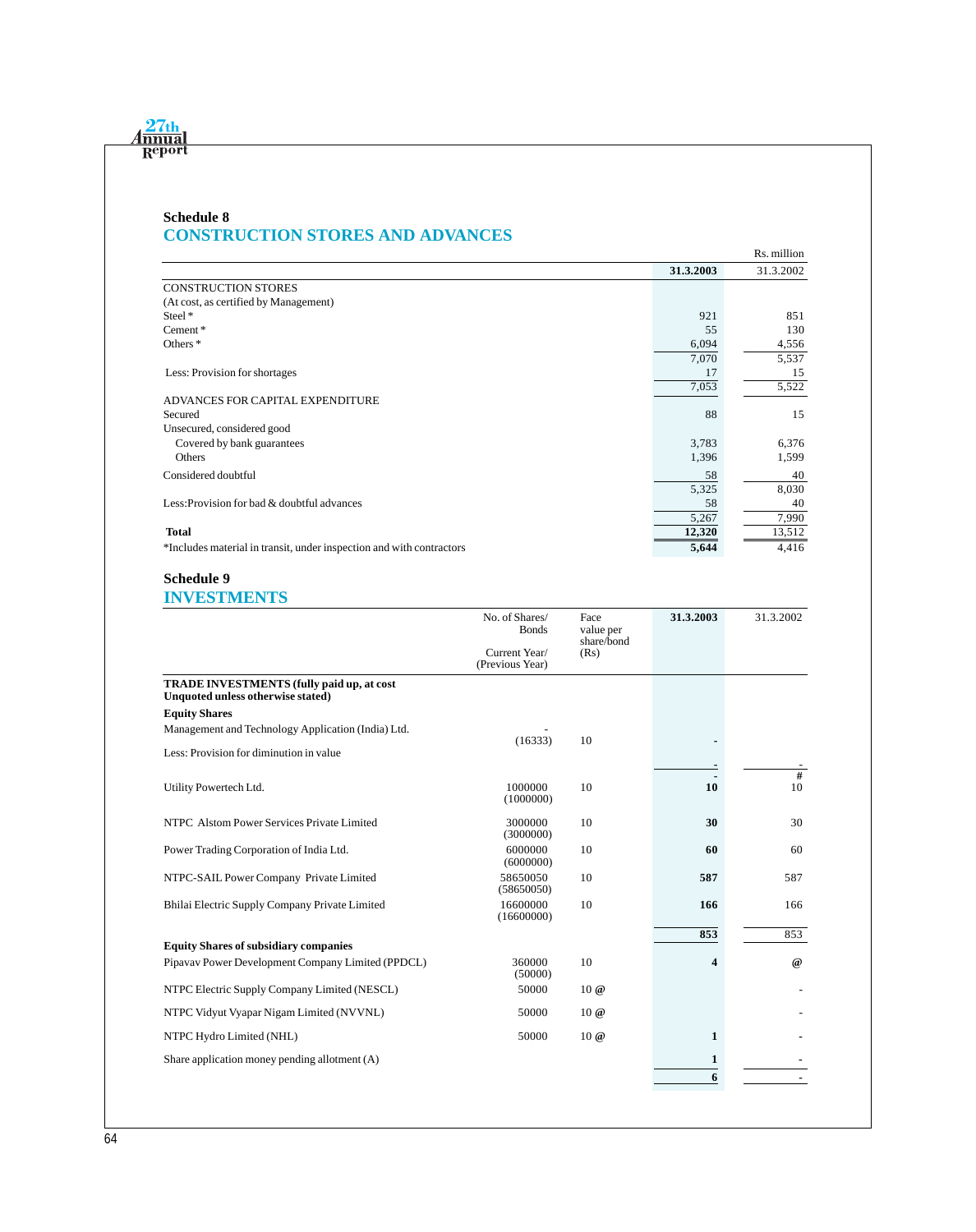# **Schedule 8 CONSTRUCTION STORES AND ADVANCES**

|                                                                      |           | Rs. million |
|----------------------------------------------------------------------|-----------|-------------|
|                                                                      | 31.3.2003 | 31.3.2002   |
| <b>CONSTRUCTION STORES</b>                                           |           |             |
| (At cost, as certified by Management)                                |           |             |
| Steel <sup>*</sup>                                                   | 921       | 851         |
| Cement*                                                              | 55        | 130         |
| Others <sup>*</sup>                                                  | 6,094     | 4,556       |
|                                                                      | 7,070     | 5,537       |
| Less: Provision for shortages                                        | 17        | 15          |
|                                                                      | 7,053     | 5,522       |
| ADVANCES FOR CAPITAL EXPENDITURE                                     |           |             |
| Secured                                                              | 88        | 15          |
| Unsecured, considered good                                           |           |             |
| Covered by bank guarantees                                           | 3,783     | 6,376       |
| Others                                                               | 1,396     | 1,599       |
| Considered doubtful                                                  | 58        | 40          |
|                                                                      | 5,325     | 8,030       |
| Less: Provision for bad & doubtful advances                          | 58        | 40          |
|                                                                      | 5,267     | 7,990       |
| <b>Total</b>                                                         | 12,320    | 13,512      |
| *Includes material in transit, under inspection and with contractors | 5,644     | 4,416       |

# **Schedule 9**

# **INVESTMENTS**

| No. of Shares/<br><b>Bonds</b>   | Face<br>value per | 31.3.2003              | 31.3.2002             |
|----------------------------------|-------------------|------------------------|-----------------------|
| Current Year/<br>(Previous Year) | (Rs)              |                        |                       |
|                                  |                   |                        |                       |
|                                  |                   |                        |                       |
|                                  |                   |                        |                       |
|                                  |                   |                        |                       |
| 1000000<br>(1000000)             | 10                | 10                     | $\overline{\#}$<br>10 |
| 3000000<br>(3000000)             | 10                | 30                     | 30                    |
| 6000000<br>(6000000)             | 10                | 60                     | 60                    |
| 58650050<br>(58650050)           | 10                | 587                    | 587                   |
| 16600000<br>(16600000)           | 10                | 166                    | 166                   |
|                                  |                   | 853                    | 853                   |
|                                  |                   |                        |                       |
| (50000)                          |                   |                        | $\omega$              |
| 50000                            | 10@               |                        |                       |
| 50000                            | 10@               |                        |                       |
| 50000                            | 10 @              | 1                      |                       |
|                                  |                   | 1                      |                       |
|                                  |                   | 6                      |                       |
|                                  | (16333)<br>360000 | share/bond<br>10<br>10 | 4                     |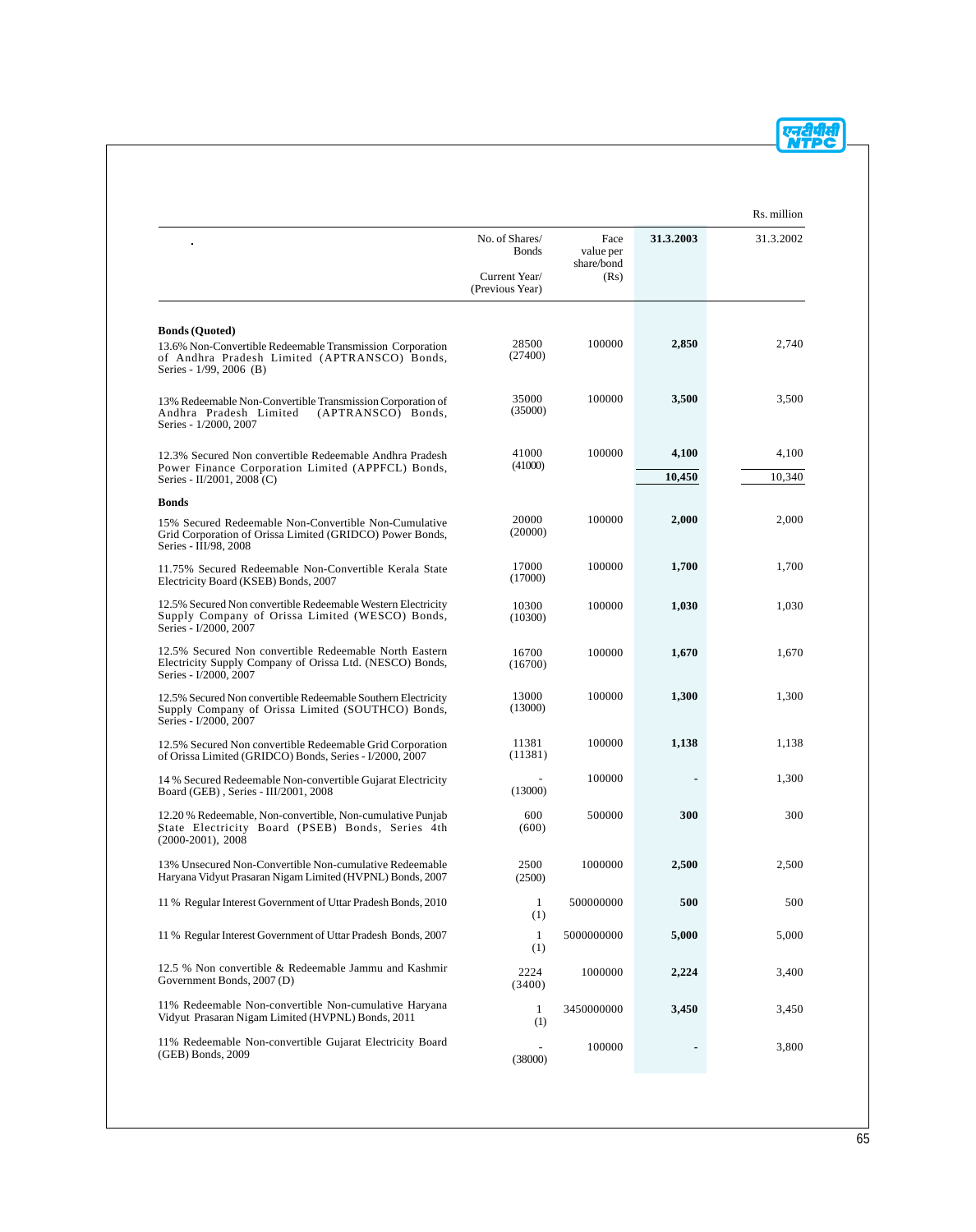|                                                                                                                                             |                                  |                                 |           | Rs. million |
|---------------------------------------------------------------------------------------------------------------------------------------------|----------------------------------|---------------------------------|-----------|-------------|
|                                                                                                                                             | No. of Shares/<br><b>Bonds</b>   | Face<br>value per<br>share/bond | 31.3.2003 | 31.3.2002   |
|                                                                                                                                             | Current Year/<br>(Previous Year) | (Rs)                            |           |             |
| <b>Bonds (Quoted)</b>                                                                                                                       |                                  |                                 |           |             |
| 13.6% Non-Convertible Redeemable Transmission Corporation<br>of Andhra Pradesh Limited (APTRANSCO) Bonds,<br>Series - 1/99, 2006 (B)        | 28500<br>(27400)                 | 100000                          | 2,850     | 2,740       |
| 13% Redeemable Non-Convertible Transmission Corporation of<br>Andhra Pradesh Limited<br>(APTRANSCO) Bonds,<br>Series - 1/2000, 2007         | 35000<br>(35000)                 | 100000                          | 3,500     | 3,500       |
| 12.3% Secured Non convertible Redeemable Andhra Pradesh                                                                                     | 41000                            | 100000                          | 4,100     | 4,100       |
| Power Finance Corporation Limited (APPFCL) Bonds,<br>Series - II/2001, 2008 (C)                                                             | (41000)                          |                                 | 10,450    | 10,340      |
| <b>Bonds</b>                                                                                                                                |                                  |                                 |           |             |
| 15% Secured Redeemable Non-Convertible Non-Cumulative<br>Grid Corporation of Orissa Limited (GRIDCO) Power Bonds,<br>Series - III/98, 2008  | 20000<br>(20000)                 | 100000                          | 2,000     | 2,000       |
| 11.75% Secured Redeemable Non-Convertible Kerala State<br>Electricity Board (KSEB) Bonds, 2007                                              | 17000<br>(17000)                 | 100000                          | 1,700     | 1,700       |
| 12.5% Secured Non convertible Redeemable Western Electricity<br>Supply Company of Orissa Limited (WESCO) Bonds,<br>Series - I/2000, 2007    | 10300<br>(10300)                 | 100000                          | 1,030     | 1,030       |
| 12.5% Secured Non convertible Redeemable North Eastern<br>Electricity Supply Company of Orissa Ltd. (NESCO) Bonds,<br>Series - I/2000, 2007 | 16700<br>(16700)                 | 100000                          | 1,670     | 1,670       |
| 12.5% Secured Non convertible Redeemable Southern Electricity<br>Supply Company of Orissa Limited (SOUTHCO) Bonds,<br>Series - I/2000, 2007 | 13000<br>(13000)                 | 100000                          | 1,300     | 1,300       |
| 12.5% Secured Non convertible Redeemable Grid Corporation<br>of Orissa Limited (GRIDCO) Bonds, Series - I/2000, 2007                        | 11381<br>(11381)                 | 100000                          | 1,138     | 1,138       |
| 14 % Secured Redeemable Non-convertible Gujarat Electricity<br>Board (GEB), Series - III/2001, 2008                                         | (13000)                          | 100000                          |           | 1,300       |
| 12.20 % Redeemable, Non-convertible, Non-cumulative Punjab<br>State Electricity Board (PSEB) Bonds, Series 4th<br>$(2000-2001)$ , 2008      | 600<br>(600)                     | 500000                          | 300       | 300         |
| 13% Unsecured Non-Convertible Non-cumulative Redeemable<br>Haryana Vidyut Prasaran Nigam Limited (HVPNL) Bonds, 2007                        | 2500<br>(2500)                   | 1000000                         | 2,500     | 2,500       |
| 11 % Regular Interest Government of Uttar Pradesh Bonds, 2010                                                                               | $\mathbf{1}$<br>(1)              | 500000000                       | 500       | 500         |
| 11 % Regular Interest Government of Uttar Pradesh Bonds, 2007                                                                               | $\mathbf{1}$<br>(1)              | 5000000000                      | 5,000     | 5,000       |
| 12.5 % Non convertible & Redeemable Jammu and Kashmir<br>Government Bonds, 2007 (D)                                                         | 2224<br>(3400)                   | 1000000                         | 2,224     | 3,400       |
| 11% Redeemable Non-convertible Non-cumulative Haryana<br>Vidyut Prasaran Nigam Limited (HVPNL) Bonds, 2011                                  | $\mathbf{1}$<br>(1)              | 3450000000                      | 3,450     | 3,450       |
| 11% Redeemable Non-convertible Gujarat Electricity Board<br>(GEB) Bonds, 2009                                                               | (38000)                          | 100000                          |           | 3,800       |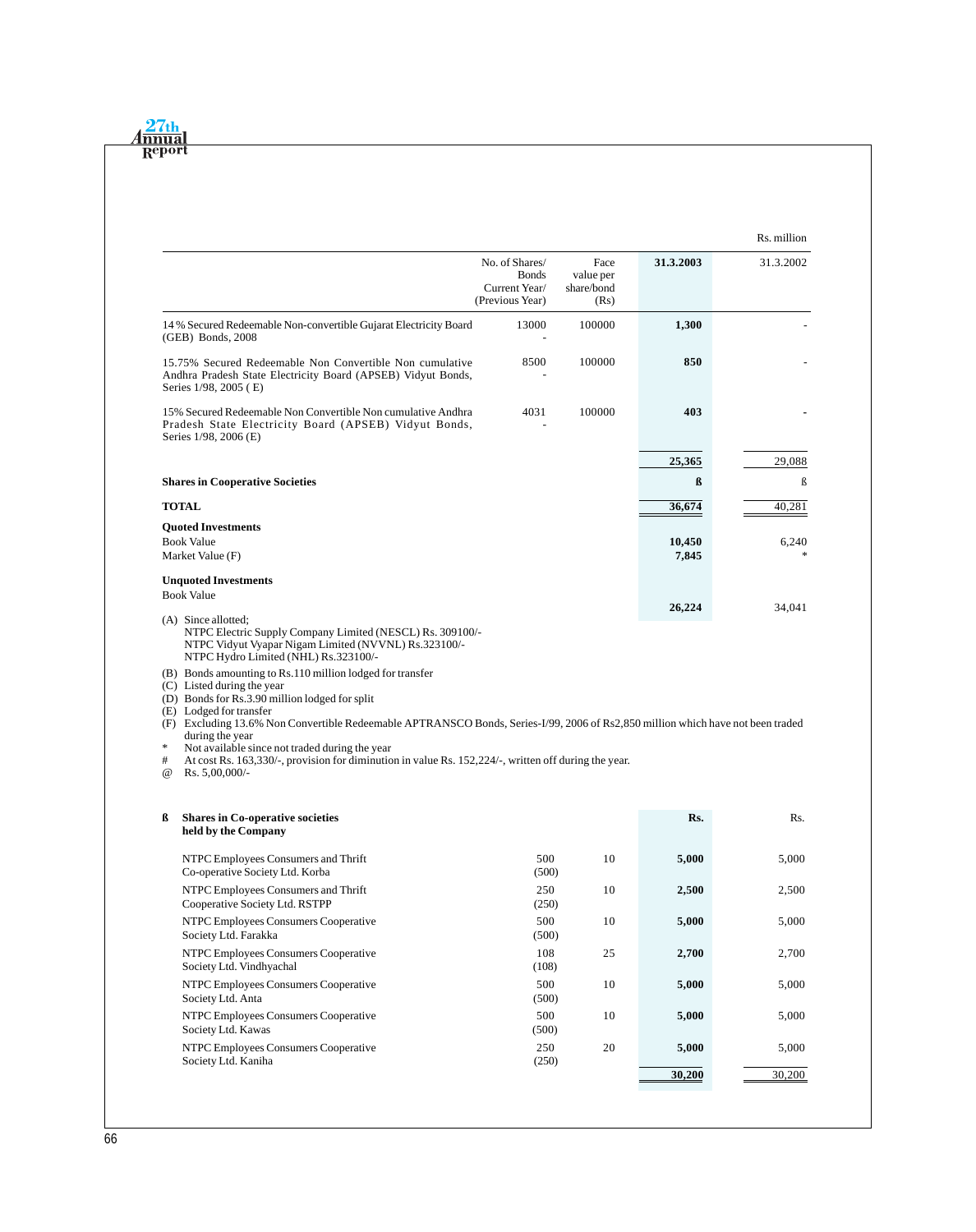| $\sqrt{th}$ |
|-------------|
| $A$ nnual   |
| Report      |

|                                                                                                                                                                                                                                                                                                                                                                                                                                          | No. of Shares/<br><b>Bonds</b><br>Current Year/<br>(Previous Year) | Face<br>value per<br>share/bond<br>(Rs) | 31.3.2003            | 31.3.2002                        |
|------------------------------------------------------------------------------------------------------------------------------------------------------------------------------------------------------------------------------------------------------------------------------------------------------------------------------------------------------------------------------------------------------------------------------------------|--------------------------------------------------------------------|-----------------------------------------|----------------------|----------------------------------|
| 14 % Secured Redeemable Non-convertible Gujarat Electricity Board<br>(GEB) Bonds, 2008                                                                                                                                                                                                                                                                                                                                                   | 13000                                                              | 100000                                  | 1,300                |                                  |
| 15.75% Secured Redeemable Non Convertible Non cumulative<br>Andhra Pradesh State Electricity Board (APSEB) Vidyut Bonds,<br>Series 1/98, 2005 (E)                                                                                                                                                                                                                                                                                        | 8500                                                               | 100000                                  | 850                  |                                  |
| 15% Secured Redeemable Non Convertible Non cumulative Andhra<br>Pradesh State Electricity Board (APSEB) Vidyut Bonds,<br>Series 1/98, 2006 (E)                                                                                                                                                                                                                                                                                           | 4031                                                               | 100000                                  | 403                  |                                  |
|                                                                                                                                                                                                                                                                                                                                                                                                                                          |                                                                    |                                         | 25,365               | 29,088                           |
| <b>Shares in Cooperative Societies</b>                                                                                                                                                                                                                                                                                                                                                                                                   |                                                                    |                                         | $\boldsymbol{\beta}$ | ß                                |
| TOTAL                                                                                                                                                                                                                                                                                                                                                                                                                                    |                                                                    |                                         | 36,674               | 40,281                           |
| <b>Ouoted Investments</b>                                                                                                                                                                                                                                                                                                                                                                                                                |                                                                    |                                         |                      |                                  |
| <b>Book Value</b><br>Market Value (F)                                                                                                                                                                                                                                                                                                                                                                                                    |                                                                    |                                         | 10,450<br>7,845      | 6,240<br>$*$                     |
| <b>Unquoted Investments</b>                                                                                                                                                                                                                                                                                                                                                                                                              |                                                                    |                                         |                      |                                  |
| <b>Book Value</b>                                                                                                                                                                                                                                                                                                                                                                                                                        |                                                                    |                                         | 26,224               | 34,041                           |
| NTPC Vidyut Vyapar Nigam Limited (NVVNL) Rs.323100/-<br>NTPC Hydro Limited (NHL) Rs.323100/-<br>(B) Bonds amounting to Rs.110 million lodged for transfer<br>(C) Listed during the year                                                                                                                                                                                                                                                  |                                                                    |                                         |                      |                                  |
| (D) Bonds for Rs.3.90 million lodged for split<br>(E) Lodged for transfer<br>(F) Excluding 13.6% Non Convertible Redeemable APTRANSCO Bonds, Series-I/99, 2006 of Rs2,850 million which have not been traded<br>during the year<br>*<br>Not available since not traded during the year<br>At cost Rs. 163,330/-, provision for diminution in value Rs. 152,224/-, written off during the year.<br>#<br>Rs. $5,00,000/-$<br>$^{\omega}{}$ |                                                                    |                                         |                      |                                  |
| <b>Shares in Co-operative societies</b><br>ß<br>held by the Company                                                                                                                                                                                                                                                                                                                                                                      |                                                                    |                                         | Rs.                  | Rs.                              |
| NTPC Employees Consumers and Thrift<br>Co-operative Society Ltd. Korba                                                                                                                                                                                                                                                                                                                                                                   | 500<br>(500)                                                       | 10                                      | 5,000                | 5,000                            |
| NTPC Employees Consumers and Thrift<br>Cooperative Society Ltd. RSTPP                                                                                                                                                                                                                                                                                                                                                                    | 250<br>(250)                                                       | 10                                      | 2,500                |                                  |
| NTPC Employees Consumers Cooperative<br>Society Ltd. Farakka                                                                                                                                                                                                                                                                                                                                                                             | 500<br>(500)                                                       | 10                                      | 5,000                |                                  |
| NTPC Employees Consumers Cooperative<br>Society Ltd. Vindhyachal                                                                                                                                                                                                                                                                                                                                                                         | 108<br>(108)                                                       | 25                                      | 2,700                |                                  |
| NTPC Employees Consumers Cooperative<br>Society Ltd. Anta                                                                                                                                                                                                                                                                                                                                                                                | 500<br>(500)                                                       | 10                                      | 5,000                | 2,500<br>5,000<br>2,700<br>5,000 |
| NTPC Employees Consumers Cooperative<br>Society Ltd. Kawas                                                                                                                                                                                                                                                                                                                                                                               | 500<br>(500)                                                       | 10                                      | 5,000                | 5,000                            |
| NTPC Employees Consumers Cooperative<br>Society Ltd. Kaniha                                                                                                                                                                                                                                                                                                                                                                              | 250<br>(250)                                                       | 20                                      | 5,000                | 5,000                            |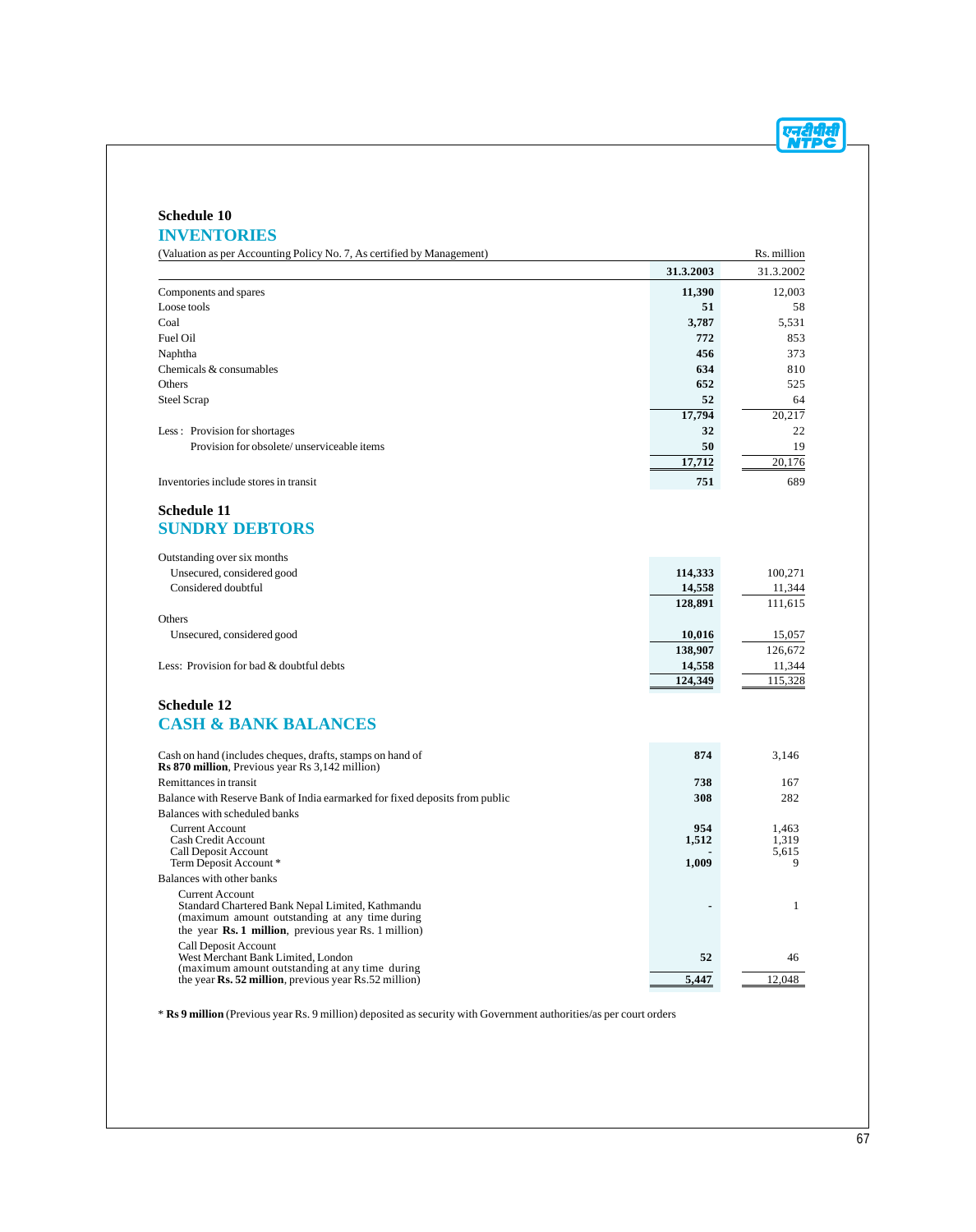एनदीपीसी

# **Schedule 10 INVENTORIES**

| (Valuation as per Accounting Policy No. 7, As certified by Management)                                               |           | Rs. million |
|----------------------------------------------------------------------------------------------------------------------|-----------|-------------|
|                                                                                                                      | 31.3.2003 | 31.3.2002   |
| Components and spares                                                                                                | 11,390    | 12,003      |
| Loose tools                                                                                                          | 51        | 58          |
| Coal                                                                                                                 | 3,787     | 5,531       |
| Fuel Oil                                                                                                             | 772       | 853         |
| Naphtha                                                                                                              | 456       | 373         |
| Chemicals & consumables                                                                                              | 634       | 810         |
| Others                                                                                                               | 652       | 525         |
| <b>Steel Scrap</b>                                                                                                   | 52        | 64          |
|                                                                                                                      | 17,794    | 20,217      |
| Less: Provision for shortages                                                                                        | 32        | 22          |
| Provision for obsolete/unserviceable items                                                                           | 50        | 19          |
|                                                                                                                      | 17,712    | 20,176      |
| Inventories include stores in transit                                                                                | 751       | 689         |
|                                                                                                                      |           |             |
| Schedule 11                                                                                                          |           |             |
| <b>SUNDRY DEBTORS</b>                                                                                                |           |             |
|                                                                                                                      |           |             |
| Outstanding over six months                                                                                          |           |             |
| Unsecured, considered good                                                                                           | 114,333   | 100,271     |
| Considered doubtful                                                                                                  | 14,558    | 11,344      |
|                                                                                                                      | 128,891   | 111,615     |
| Others                                                                                                               |           |             |
| Unsecured, considered good                                                                                           | 10,016    | 15,057      |
|                                                                                                                      | 138,907   | 126,672     |
| Less: Provision for bad & doubtful debts                                                                             | 14,558    | 11,344      |
|                                                                                                                      | 124,349   | 115,328     |
| Schedule 12                                                                                                          |           |             |
|                                                                                                                      |           |             |
| <b>CASH &amp; BANK BALANCES</b>                                                                                      |           |             |
|                                                                                                                      | 874       |             |
| Cash on hand (includes cheques, drafts, stamps on hand of<br><b>Rs 870 million</b> , Previous year Rs 3,142 million) |           | 3,146       |
| Remittances in transit                                                                                               | 738       | 167         |
| Balance with Reserve Bank of India earmarked for fixed deposits from public                                          | 308       | 282         |
| Balances with scheduled banks                                                                                        |           |             |
| <b>Current Account</b>                                                                                               | 954       | 1.463       |
| Cash Credit Account                                                                                                  | 1,512     | 1,319       |
| Call Deposit Account                                                                                                 |           | 5,615       |
| Term Deposit Account*                                                                                                | 1,009     | 9           |
| Balances with other banks<br><b>Current Account</b>                                                                  |           |             |
| Standard Chartered Bank Nepal Limited, Kathmandu                                                                     |           | 1           |
| (maximum amount outstanding at any time during                                                                       |           |             |
| the year $\mathbf{Rs.1}$ million, previous year $\mathbf{Rs.1}$ million)                                             |           |             |
| Call Deposit Account                                                                                                 |           |             |
| West Merchant Bank Limited, London<br>(maximum amount outstanding at any time during                                 | 52        | 46          |
| the year <b>Rs. 52 million</b> , previous year Rs.52 million)                                                        | 5.447     | 12,048      |

\* **Rs 9 million** (Previous year Rs. 9 million) deposited as security with Government authorities/as per court orders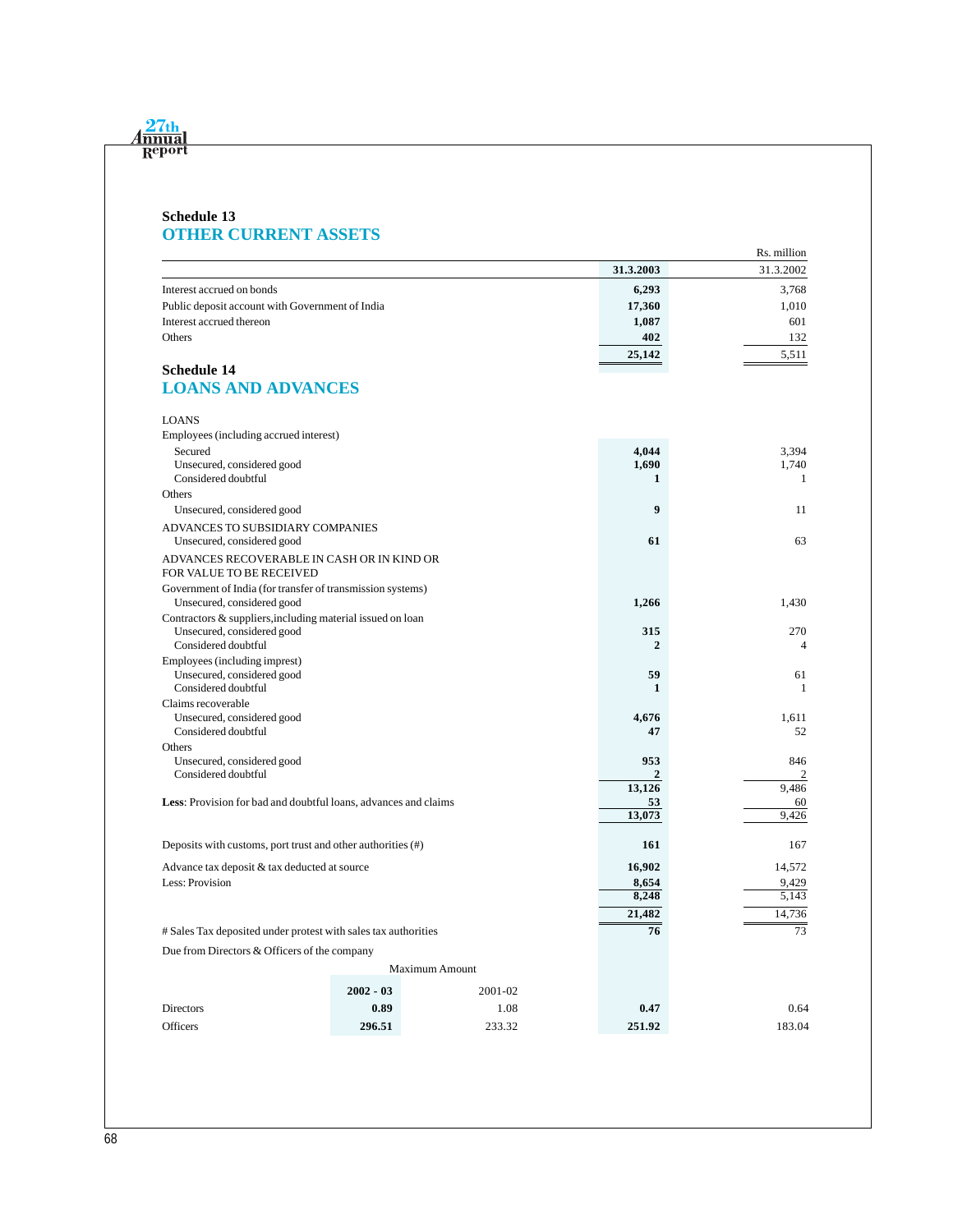#### **Schedule 13 OTHER CURRENT ASSETS**

|                                                                        |             |                       |                     | Rs. million |
|------------------------------------------------------------------------|-------------|-----------------------|---------------------|-------------|
|                                                                        |             |                       | 31.3.2003           | 31.3.2002   |
| Interest accrued on bonds                                              |             |                       | 6,293               | 3,768       |
| Public deposit account with Government of India                        |             |                       | 17,360              | 1,010       |
| Interest accrued thereon                                               |             |                       | 1,087               | 601         |
| Others                                                                 |             |                       | 402                 | 132         |
|                                                                        |             |                       | 25,142              | 5,511       |
| <b>Schedule 14</b>                                                     |             |                       |                     |             |
| <b>LOANS AND ADVANCES</b>                                              |             |                       |                     |             |
| <b>LOANS</b>                                                           |             |                       |                     |             |
| Employees (including accrued interest)                                 |             |                       |                     |             |
| Secured                                                                |             |                       | 4,044               | 3,394       |
| Unsecured, considered good                                             |             |                       | 1,690               | 1,740       |
| Considered doubtful                                                    |             |                       | 1                   | 1           |
| Others                                                                 |             |                       |                     |             |
| Unsecured, considered good                                             |             |                       | 9                   | 11          |
| ADVANCES TO SUBSIDIARY COMPANIES                                       |             |                       |                     |             |
| Unsecured, considered good                                             |             |                       | 61                  | 63          |
| ADVANCES RECOVERABLE IN CASH OR IN KIND OR<br>FOR VALUE TO BE RECEIVED |             |                       |                     |             |
| Government of India (for transfer of transmission systems)             |             |                       |                     |             |
| Unsecured, considered good                                             |             |                       | 1,266               | 1,430       |
| Contractors & suppliers, including material issued on loan             |             |                       |                     |             |
| Unsecured, considered good<br>Considered doubtful                      |             |                       | 315<br>$\mathbf{2}$ | 270<br>4    |
| Employees (including imprest)                                          |             |                       |                     |             |
| Unsecured, considered good                                             |             |                       | 59                  | 61          |
| Considered doubtful                                                    |             |                       | $\mathbf{1}$        | 1           |
| Claims recoverable                                                     |             |                       |                     |             |
| Unsecured, considered good                                             |             |                       | 4,676               | 1,611       |
| Considered doubtful                                                    |             |                       | 47                  | 52          |
| Others                                                                 |             |                       |                     |             |
| Unsecured, considered good                                             |             |                       | 953                 | 846         |
| Considered doubtful                                                    |             |                       | 2                   | 2<br>9,486  |
| Less: Provision for bad and doubtful loans, advances and claims        |             |                       | 13,126<br>53        | 60          |
|                                                                        |             |                       | 13,073              | 9,426       |
|                                                                        |             |                       |                     |             |
| Deposits with customs, port trust and other authorities (#)            |             |                       | 161                 | 167         |
| Advance tax deposit & tax deducted at source                           |             |                       | 16,902              | 14,572      |
| Less: Provision                                                        |             |                       | 8,654               | 9,429       |
|                                                                        |             |                       | 8,248               | 5,143       |
|                                                                        |             |                       | 21,482              | 14,736      |
| # Sales Tax deposited under protest with sales tax authorities         |             |                       | 76                  | 73          |
| Due from Directors & Officers of the company                           |             |                       |                     |             |
|                                                                        |             | <b>Maximum Amount</b> |                     |             |
|                                                                        | $2002 - 03$ | 2001-02               |                     |             |
| Directors                                                              | 0.89        | 1.08                  | 0.47                | 0.64        |
| Officers                                                               | 296.51      | 233.32                | 251.92              | 183.04      |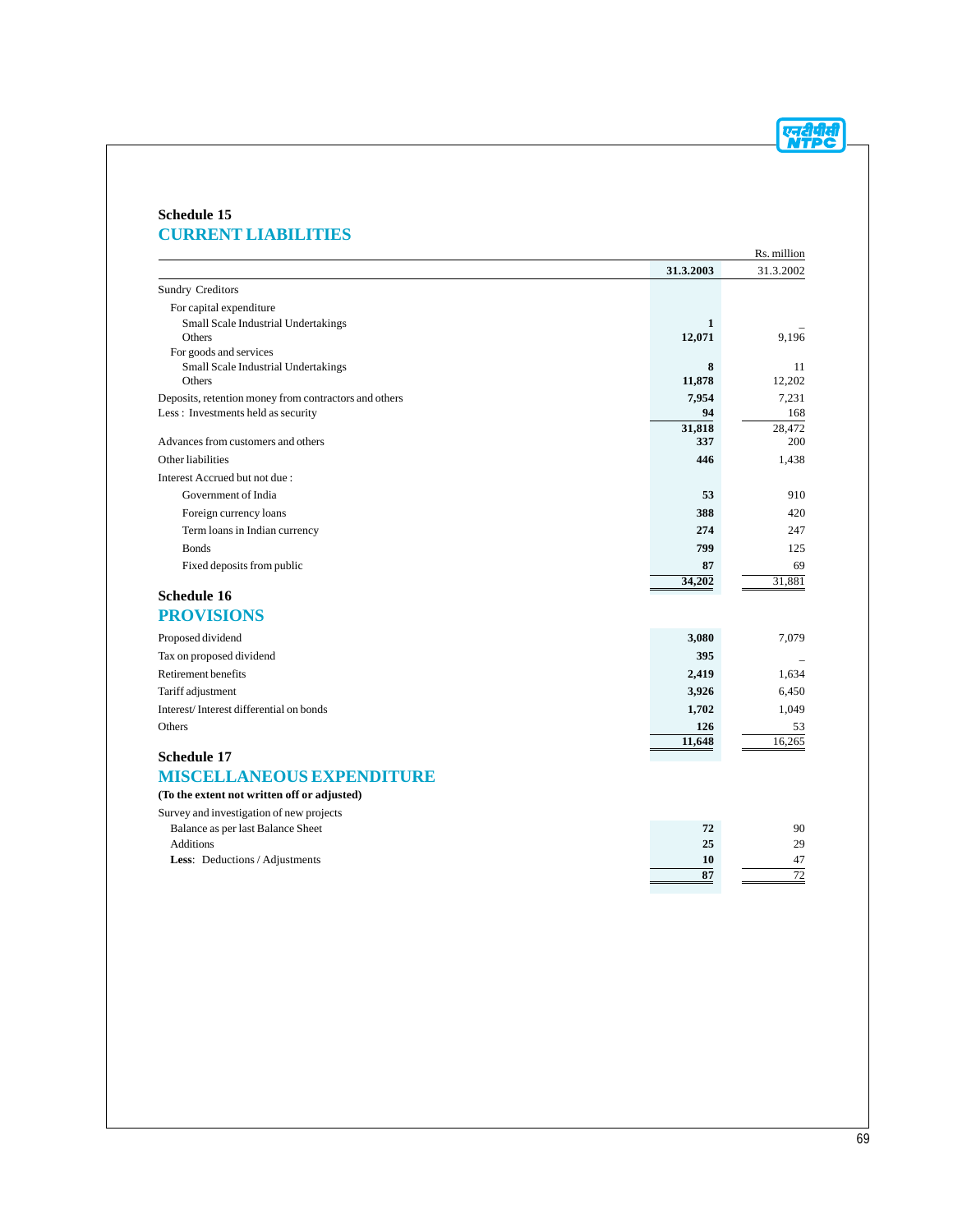एनदीपीसी

### **Schedule 15 CURRENT LIABILITIES**

|                                                       |             | Rs. million  |
|-------------------------------------------------------|-------------|--------------|
|                                                       | 31.3.2003   | 31.3.2002    |
| <b>Sundry Creditors</b>                               |             |              |
| For capital expenditure                               |             |              |
| Small Scale Industrial Undertakings                   | 1           |              |
| Others                                                | 12,071      | 9,196        |
| For goods and services                                |             |              |
| Small Scale Industrial Undertakings<br>Others         | 8<br>11,878 | 11<br>12,202 |
| Deposits, retention money from contractors and others | 7,954       | 7,231        |
| Less: Investments held as security                    | 94          | 168          |
|                                                       | 31,818      | 28.472       |
| Advances from customers and others                    | 337         | 200          |
| Other liabilities                                     | 446         | 1,438        |
| Interest Accrued but not due:                         |             |              |
| Government of India                                   | 53          | 910          |
| Foreign currency loans                                | 388         | 420          |
| Term loans in Indian currency                         | 274         | 247          |
| <b>Bonds</b>                                          | 799         | 125          |
| Fixed deposits from public                            | 87          | 69           |
|                                                       | 34,202      | 31,881       |
| <b>Schedule 16</b>                                    |             |              |
| <b>PROVISIONS</b>                                     |             |              |
| Proposed dividend                                     | 3,080       | 7,079        |
| Tax on proposed dividend                              | 395         |              |
| Retirement benefits                                   | 2,419       | 1,634        |
| Tariff adjustment                                     | 3,926       | 6,450        |
| Interest/Interest differential on bonds               | 1,702       | 1,049        |
| Others                                                | 126         | 53           |
|                                                       | 11,648      | 16,265       |
| <b>Schedule 17</b>                                    |             |              |
| <b>MISCELLANEOUS EXPENDITURE</b>                      |             |              |
| (To the extent not written off or adjusted)           |             |              |
| Survey and investigation of new projects              |             |              |
| Balance as per last Balance Sheet                     | 72          | 90           |
| <b>Additions</b>                                      | 25          | 29           |
| Less: Deductions / Adjustments                        | 10          | 47           |
|                                                       | 87          | 72           |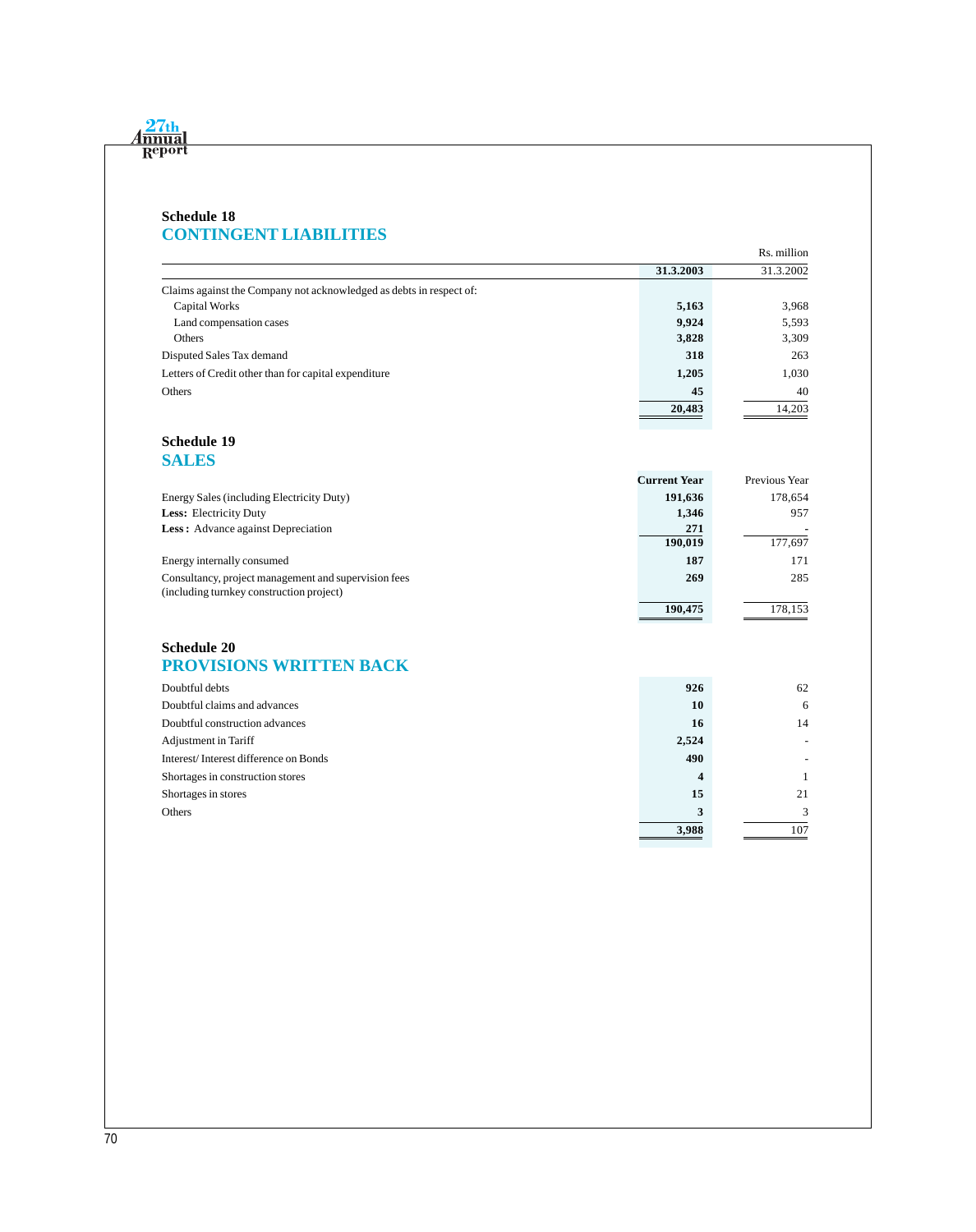## **Schedule 18 CONTINGENT LIABILITIES**

|                                                                     |           | Rs. million |
|---------------------------------------------------------------------|-----------|-------------|
|                                                                     | 31.3.2003 | 31.3.2002   |
| Claims against the Company not acknowledged as debts in respect of: |           |             |
| Capital Works                                                       | 5,163     | 3,968       |
| Land compensation cases                                             | 9,924     | 5,593       |
| Others                                                              | 3,828     | 3,309       |
| Disputed Sales Tax demand                                           | 318       | 263         |
| Letters of Credit other than for capital expenditure                | 1,205     | 1,030       |
| Others                                                              | 45        | 40          |
|                                                                     | 20,483    | 14,203      |

#### **Schedule 19 SALES**

|                                                      | <b>Current Year</b> | Previous Year |
|------------------------------------------------------|---------------------|---------------|
| Energy Sales (including Electricity Duty)            | 191,636             | 178,654       |
| <b>Less:</b> Electricity Duty                        | 1,346               | 957           |
| <b>Less:</b> Advance against Depreciation            | 271                 |               |
|                                                      | 190,019             | 177,697       |
| Energy internally consumed                           | 187                 | 171           |
| Consultancy, project management and supervision fees | 269                 | 285           |
| (including turnkey construction project)             |                     |               |
|                                                      | 190,475             | 178.153       |

### **Schedule 20 PROVISIONS WRITTEN BACK**

| Doubtful debts                        | 926   | 62  |
|---------------------------------------|-------|-----|
| Doubtful claims and advances          | 10    | 6   |
| Doubtful construction advances        | 16    | 14  |
| Adjustment in Tariff                  | 2,524 |     |
| Interest/Interest difference on Bonds | 490   |     |
| Shortages in construction stores      | 4     |     |
| Shortages in stores                   | 15    | 21  |
| Others                                | 3     |     |
|                                       | 3,988 | 107 |
|                                       |       |     |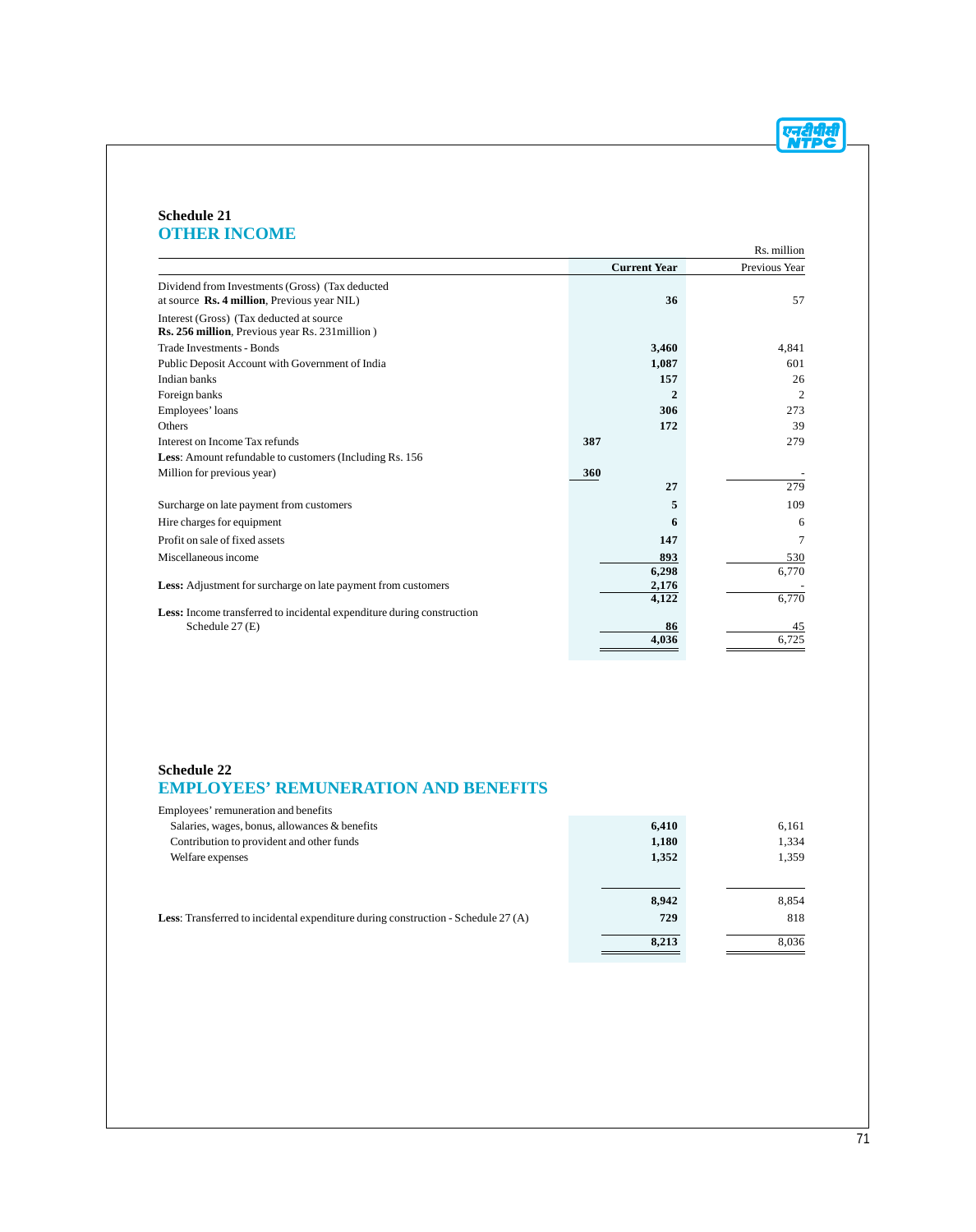एनदीपीसी<br>NTPC

#### **Schedule 21 OTHER INCOME**

|                                                                                                |                     | Rs. million    |
|------------------------------------------------------------------------------------------------|---------------------|----------------|
|                                                                                                | <b>Current Year</b> | Previous Year  |
| Dividend from Investments (Gross) (Tax deducted<br>at source Rs. 4 million, Previous year NIL) | 36                  | 57             |
| Interest (Gross) (Tax deducted at source<br>Rs. 256 million, Previous year Rs. 231 million)    |                     |                |
| <b>Trade Investments - Bonds</b>                                                               | 3,460               | 4,841          |
| Public Deposit Account with Government of India                                                | 1,087               | 601            |
| Indian banks                                                                                   | 157                 | 26             |
| Foreign banks                                                                                  | $\mathbf{2}$        | $\overline{c}$ |
| Employees' loans                                                                               | 306                 | 273            |
| <b>Others</b>                                                                                  | 172                 | 39             |
| Interest on Income Tax refunds                                                                 | 387                 | 279            |
| <b>Less:</b> Amount refundable to customers (Including Rs. 156)                                |                     |                |
| Million for previous year)                                                                     | 360                 |                |
|                                                                                                | 27                  | 279            |
| Surcharge on late payment from customers                                                       | 5                   | 109            |
| Hire charges for equipment                                                                     | 6                   | 6              |
| Profit on sale of fixed assets                                                                 | 147                 | 7              |
| Miscellaneous income                                                                           | 893                 | 530            |
|                                                                                                | 6,298               | 6,770          |
| Less: Adjustment for surcharge on late payment from customers                                  | 2,176               |                |
|                                                                                                | 4,122               | 6,770          |
| Less: Income transferred to incidental expenditure during construction                         | 86                  |                |
| Schedule 27 (E)                                                                                | 4,036               | 45<br>6,725    |
|                                                                                                |                     |                |

#### **Schedule 22**

# **EMPLOYEES' REMUNERATION AND BENEFITS**

| Employees' remuneration and benefits                                                       |                       |                       |
|--------------------------------------------------------------------------------------------|-----------------------|-----------------------|
| Salaries, wages, bonus, allowances & benefits                                              | 6,410                 | 6,161                 |
| Contribution to provident and other funds                                                  | 1,180                 | 1,334                 |
| Welfare expenses                                                                           | 1,352                 | 1,359                 |
| <b>Less:</b> Transferred to incidental expenditure during construction - Schedule 27 $(A)$ | 8,942<br>729<br>8,213 | 8.854<br>818<br>8,036 |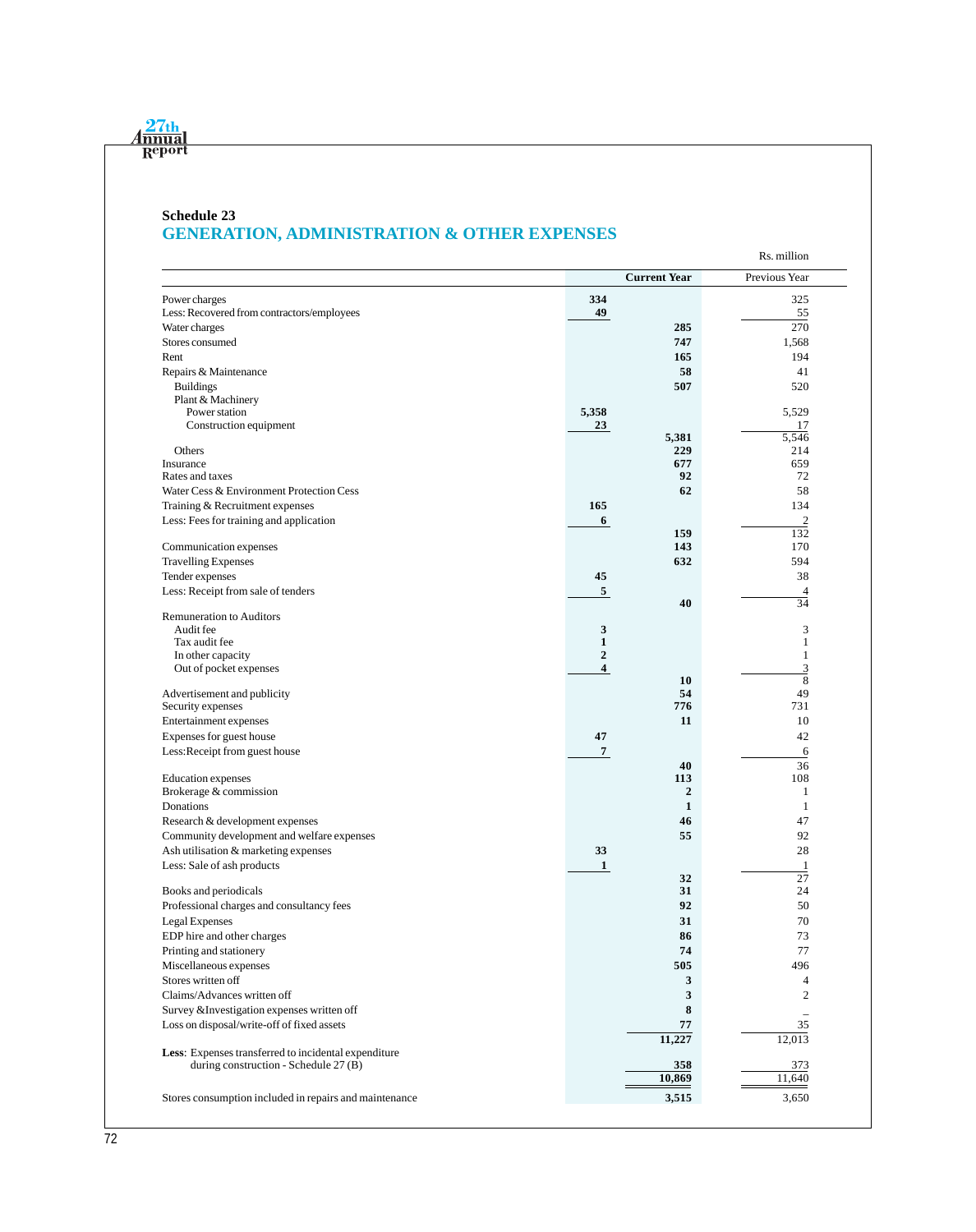# **Schedule 23 GENERATION, ADMINISTRATION & OTHER EXPENSES**

|                                                        |                                  |                     | Rs. million       |
|--------------------------------------------------------|----------------------------------|---------------------|-------------------|
|                                                        |                                  | <b>Current Year</b> | Previous Year     |
| Power charges                                          | 334                              |                     | 325               |
| Less: Recovered from contractors/employees             | 49                               |                     | 55                |
| Water charges                                          |                                  | 285                 | 270               |
| Stores consumed                                        |                                  | 747                 | 1,568             |
| Rent                                                   |                                  | 165                 | 194               |
| Repairs & Maintenance                                  |                                  | 58                  | 41                |
| <b>Buildings</b>                                       |                                  | 507                 | 520               |
| Plant & Machinery                                      |                                  |                     |                   |
| Power station                                          | 5,358                            |                     | 5,529             |
| Construction equipment                                 | 23                               |                     | 17                |
|                                                        |                                  | 5,381               | 5,546             |
| Others<br>Insurance                                    |                                  | 229<br>677          | 214<br>659        |
| Rates and taxes                                        |                                  | 92                  | 72                |
| Water Cess & Environment Protection Cess               |                                  | 62                  | 58                |
| Training & Recruitment expenses                        | 165                              |                     | 134               |
| Less: Fees for training and application                | 6                                |                     | $\mathfrak{2}$    |
|                                                        |                                  | 159                 | 132               |
| Communication expenses                                 |                                  | 143                 | 170               |
| <b>Travelling Expenses</b>                             |                                  | 632                 | 594               |
| Tender expenses                                        | 45                               |                     | 38                |
| Less: Receipt from sale of tenders                     | $\sqrt{5}$                       |                     | 4                 |
|                                                        |                                  | 40                  | 34                |
| <b>Remuneration to Auditors</b>                        |                                  |                     |                   |
| Audit fee                                              | 3                                |                     | 3                 |
| Tax audit fee<br>In other capacity                     | $\mathbf{1}$<br>$\boldsymbol{2}$ |                     | 1<br>$\mathbf{1}$ |
| Out of pocket expenses                                 | 4                                |                     | $\overline{3}$    |
|                                                        |                                  | 10                  | 8                 |
| Advertisement and publicity                            |                                  | 54                  | 49                |
| Security expenses                                      |                                  | 776                 | 731               |
| Entertainment expenses                                 |                                  | 11                  | 10                |
| Expenses for guest house                               | 47                               |                     | 42                |
| Less: Receipt from guest house                         | $\overline{7}$                   |                     | 6                 |
|                                                        |                                  | 40                  | 36                |
| Education expenses                                     |                                  | 113                 | 108               |
| Brokerage & commission                                 |                                  | $\boldsymbol{2}$    | 1                 |
| Donations                                              |                                  | $\mathbf{1}$        | 1                 |
| Research & development expenses                        |                                  | 46                  | 47                |
| Community development and welfare expenses             |                                  | 55                  | 92                |
| Ash utilisation & marketing expenses                   | 33                               |                     | 28                |
| Less: Sale of ash products                             | $\mathbf{1}$                     |                     | 1                 |
|                                                        |                                  | 32                  | 27                |
| Books and periodicals                                  |                                  | 31                  | 24                |
| Professional charges and consultancy fees              |                                  | 92                  | 50                |
| Legal Expenses                                         |                                  | 31                  | 70                |
| EDP hire and other charges                             |                                  | 86                  | 73                |
| Printing and stationery                                |                                  | 74                  | 77                |
| Miscellaneous expenses                                 |                                  | 505                 | 496               |
| Stores written off                                     |                                  | 3                   | 4                 |
| Claims/Advances written off                            |                                  | 3                   | $\boldsymbol{2}$  |
| Survey & Investigation expenses written off            |                                  | 8                   | ۰                 |
| Loss on disposal/write-off of fixed assets             |                                  | 77                  | 35                |
| Less: Expenses transferred to incidental expenditure   |                                  | 11,227              | 12,013            |
| during construction - Schedule 27 (B)                  |                                  | 358                 | 373               |
|                                                        |                                  | 10,869              | 11,640            |
| Stores consumption included in repairs and maintenance |                                  | 3,515               | 3,650             |
|                                                        |                                  |                     |                   |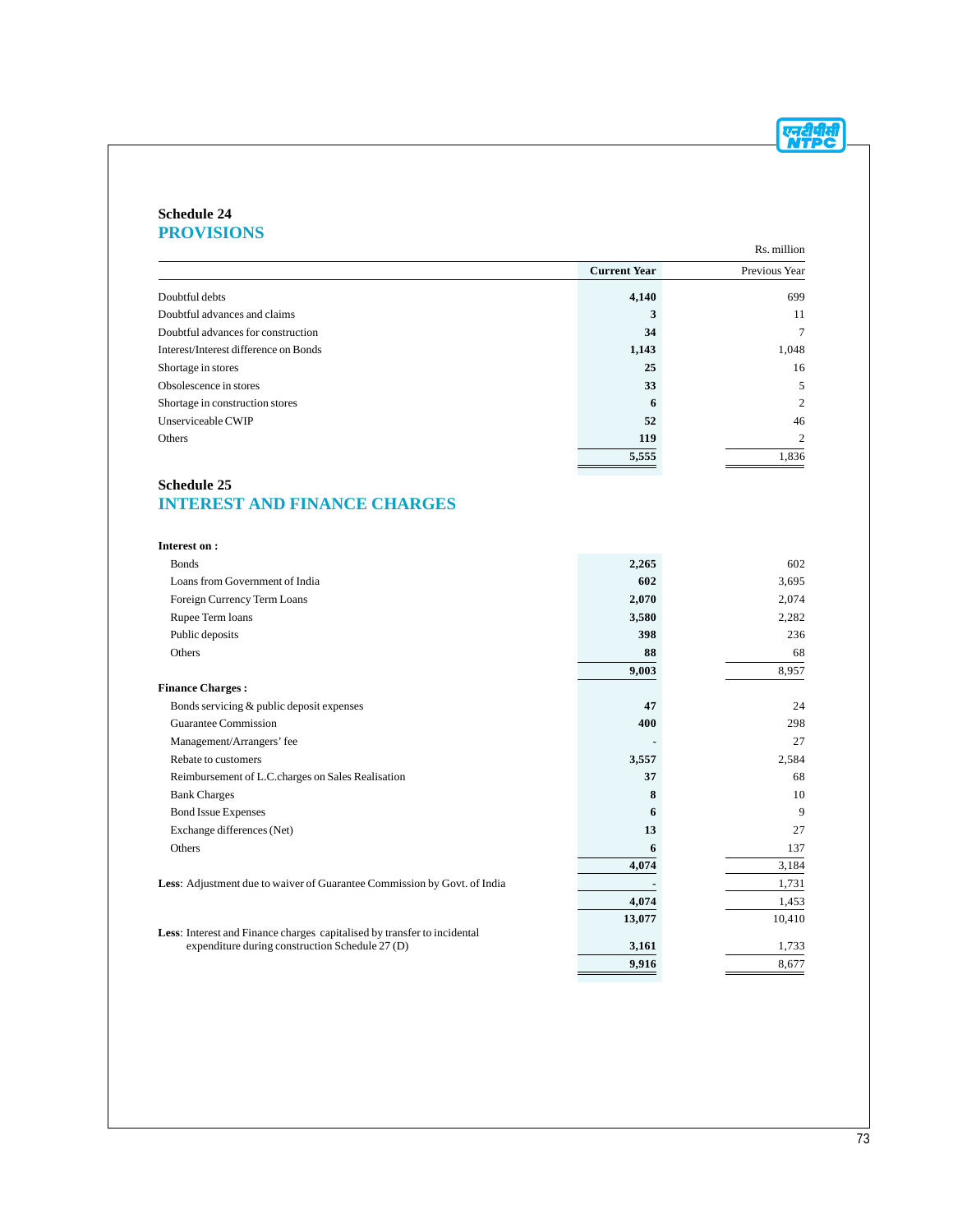

#### **Schedule 24 PROVISIONS**

|                                       |                     | Rs. million    |
|---------------------------------------|---------------------|----------------|
|                                       | <b>Current Year</b> | Previous Year  |
| Doubtful debts                        | 4,140               | 699            |
| Doubtful advances and claims          | 3                   | 11             |
| Doubtful advances for construction    | 34                  |                |
| Interest/Interest difference on Bonds | 1,143               | 1,048          |
| Shortage in stores                    | 25                  | 16             |
| Obsolescence in stores                | 33                  | 5              |
| Shortage in construction stores       | 6                   | $\overline{c}$ |
| Unserviceable CWIP                    | 52                  | 46             |
| Others                                | 119                 | 2              |
|                                       | 5,555               | 1,836          |

# **Schedule 25 INTEREST AND FINANCE CHARGES**

| <b>Interest on:</b>                                                      |        |        |
|--------------------------------------------------------------------------|--------|--------|
| <b>Bonds</b>                                                             | 2,265  | 602    |
| Loans from Government of India                                           | 602    | 3,695  |
| Foreign Currency Term Loans                                              | 2,070  | 2,074  |
| Rupee Term loans                                                         | 3,580  | 2,282  |
| Public deposits                                                          | 398    | 236    |
| Others                                                                   | 88     | 68     |
|                                                                          | 9,003  | 8,957  |
| <b>Finance Charges:</b>                                                  |        |        |
| Bonds servicing & public deposit expenses                                | 47     | 24     |
| Guarantee Commission                                                     | 400    | 298    |
| Management/Arrangers' fee                                                |        | 27     |
| Rebate to customers                                                      | 3,557  | 2,584  |
| Reimbursement of L.C.charges on Sales Realisation                        | 37     | 68     |
| <b>Bank Charges</b>                                                      | 8      | 10     |
| <b>Bond Issue Expenses</b>                                               | 6      | 9      |
| Exchange differences (Net)                                               | 13     | 27     |
| Others                                                                   | 6      | 137    |
|                                                                          | 4,074  | 3,184  |
| Less: Adjustment due to waiver of Guarantee Commission by Govt. of India |        | 1,731  |
|                                                                          | 4,074  | 1,453  |
|                                                                          | 13,077 | 10,410 |
| Less: Interest and Finance charges capitalised by transfer to incidental |        |        |
| expenditure during construction Schedule 27 (D)                          | 3,161  | 1,733  |
|                                                                          | 9,916  | 8,677  |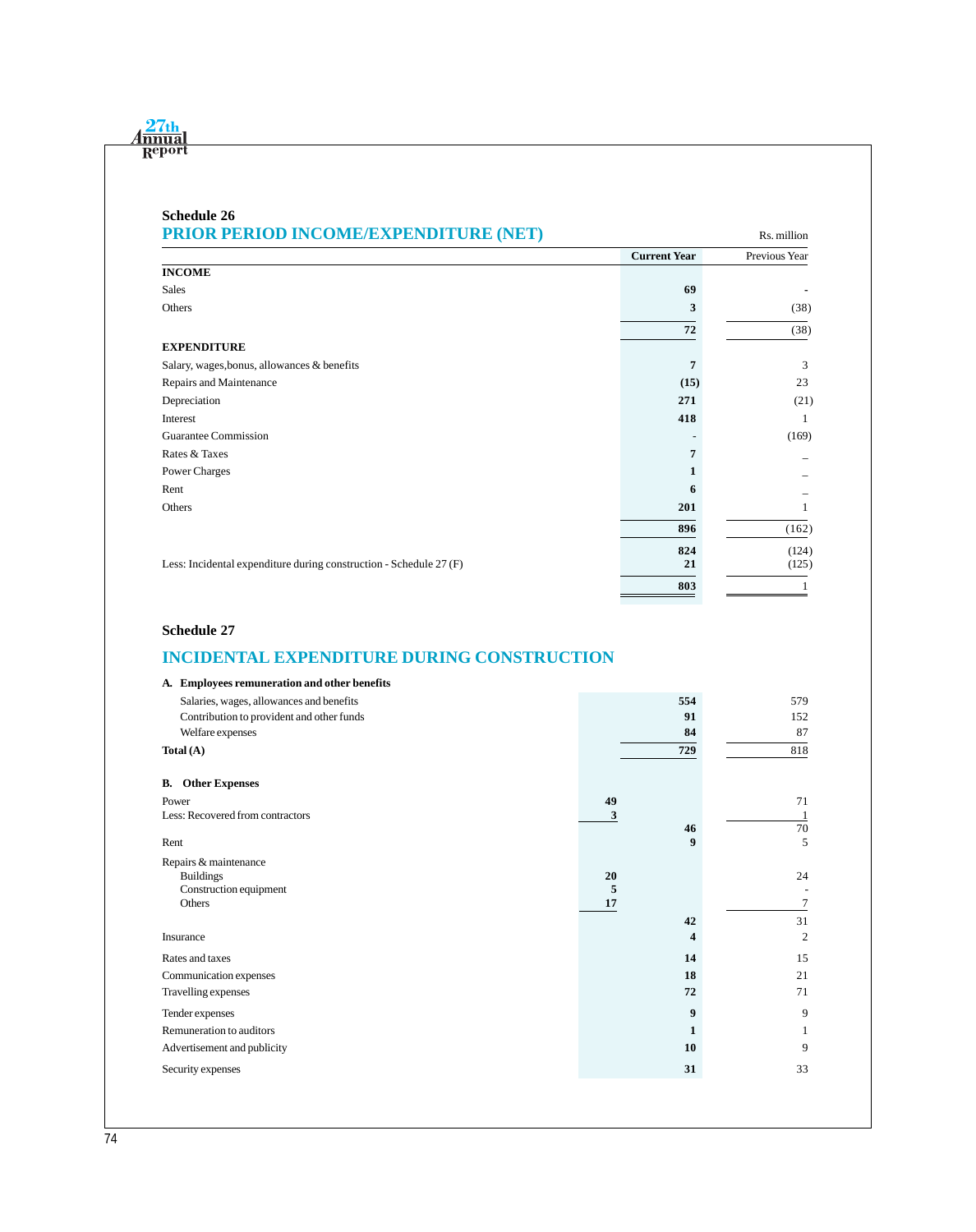| <b>Schedule 26</b><br>PRIOR PERIOD INCOME/EXPENDITURE (NET)        |                     | Rs. million   |
|--------------------------------------------------------------------|---------------------|---------------|
|                                                                    | <b>Current Year</b> | Previous Year |
| <b>INCOME</b>                                                      |                     |               |
| <b>Sales</b>                                                       | 69                  |               |
| Others                                                             | 3                   | (38)          |
|                                                                    | 72                  | (38)          |
| <b>EXPENDITURE</b>                                                 |                     |               |
| Salary, wages, bonus, allowances & benefits                        | 7                   | 3             |
| Repairs and Maintenance                                            | (15)                | 23            |
| Depreciation                                                       | 271                 | (21)          |
| Interest                                                           | 418                 | 1             |
| Guarantee Commission                                               |                     | (169)         |
| Rates & Taxes                                                      | 7                   |               |
| Power Charges                                                      |                     |               |
| Rent                                                               | 6                   |               |
| Others                                                             | 201                 |               |
|                                                                    | 896                 | (162)         |
|                                                                    | 824                 | (124)         |
| Less: Incidental expenditure during construction - Schedule 27 (F) | 21                  | (125)         |
|                                                                    | 803                 |               |

### **Schedule 27**

# **INCIDENTAL EXPENDITURE DURING CONSTRUCTION**

| A. Employees remuneration and other benefits |         |     |                |
|----------------------------------------------|---------|-----|----------------|
| Salaries, wages, allowances and benefits     |         | 554 | 579            |
| Contribution to provident and other funds    |         | 91  | 152            |
| Welfare expenses                             |         | 84  | 87             |
| Total $(A)$                                  |         | 729 | 818            |
| <b>Other Expenses</b><br>В.                  |         |     |                |
| Power                                        | 49      |     | 71             |
| Less: Recovered from contractors             | 3       |     |                |
|                                              |         | 46  | 70             |
| Rent                                         |         | 9   | 5              |
| Repairs & maintenance                        |         |     |                |
| <b>Buildings</b>                             | 20      |     | 24             |
| Construction equipment<br>Others             | 5<br>17 |     | 7              |
|                                              |         |     |                |
|                                              |         | 42  | 31             |
| Insurance                                    |         | 4   | $\overline{2}$ |
| Rates and taxes                              |         | 14  | 15             |
| Communication expenses                       |         | 18  | 21             |
| Travelling expenses                          |         | 72  | 71             |
| Tender expenses                              |         | 9   | 9              |
| Remuneration to auditors                     |         | 1   | 1              |
| Advertisement and publicity                  |         | 10  | 9              |
| Security expenses                            |         | 31  | 33             |
|                                              |         |     |                |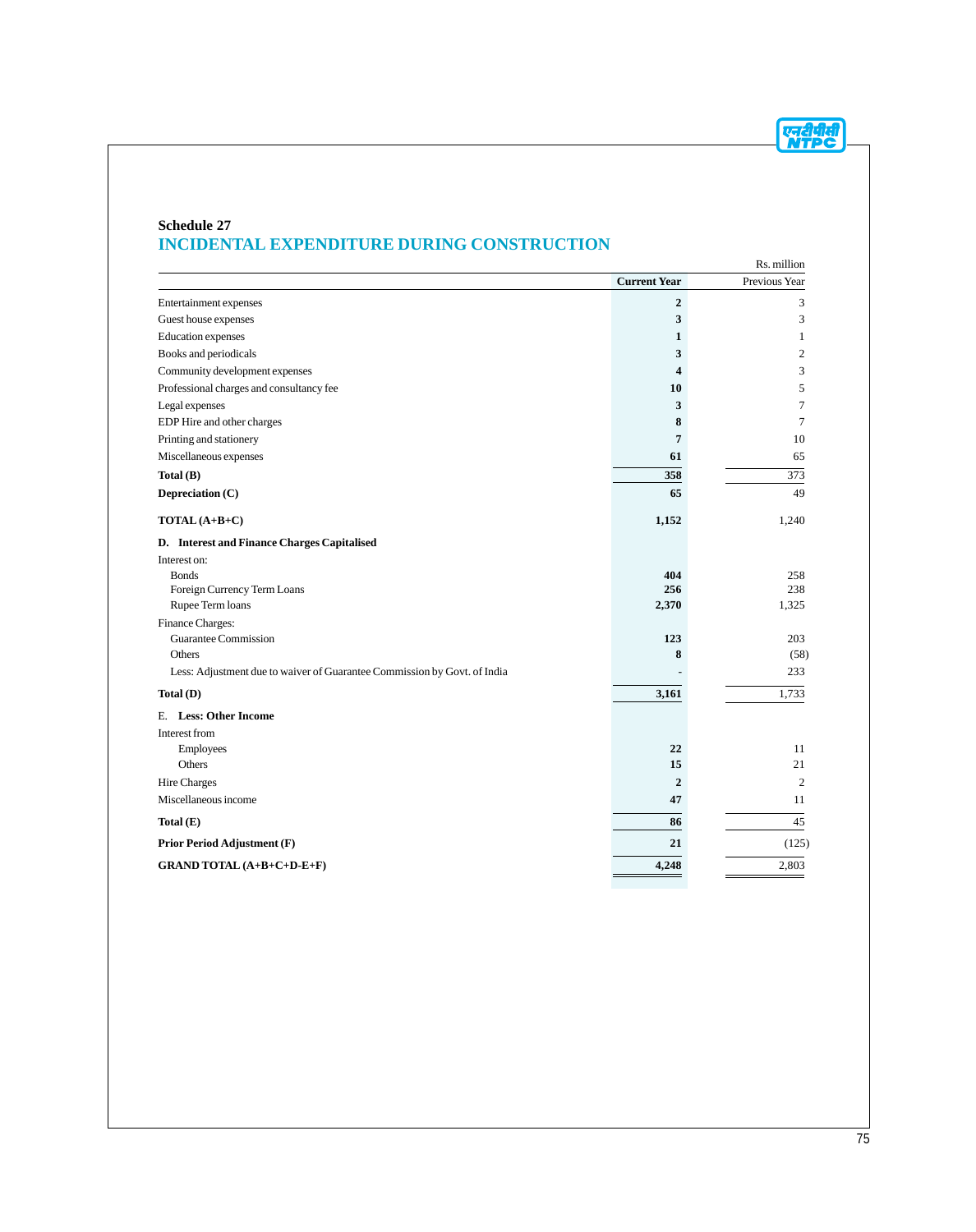

#### **Schedule 27 INCIDENTAL EXPENDITURE DURING CONSTRUCTION**

|                                                                          |                         | Rs. million    |
|--------------------------------------------------------------------------|-------------------------|----------------|
|                                                                          | <b>Current Year</b>     | Previous Year  |
| Entertainment expenses                                                   | $\overline{2}$          | 3              |
| Guest house expenses                                                     | 3                       | 3              |
| Education expenses                                                       | 1                       | 1              |
| Books and periodicals                                                    | 3                       | $\overline{2}$ |
| Community development expenses                                           | $\overline{\mathbf{4}}$ | 3              |
| Professional charges and consultancy fee                                 | 10                      | 5              |
| Legal expenses                                                           | 3                       | 7              |
| EDP Hire and other charges                                               | 8                       | $\tau$         |
| Printing and stationery                                                  | $\overline{7}$          | 10             |
| Miscellaneous expenses                                                   | 61                      | 65             |
| Total $(B)$                                                              | 358                     | 373            |
| Depreciation (C)                                                         | 65                      | 49             |
| TOTAL (A+B+C)                                                            | 1,152                   | 1,240          |
| D. Interest and Finance Charges Capitalised                              |                         |                |
| Interest on:                                                             |                         |                |
| <b>Bonds</b>                                                             | 404                     | 258            |
| Foreign Currency Term Loans                                              | 256                     | 238            |
| Rupee Term loans                                                         | 2,370                   | 1,325          |
| Finance Charges:                                                         |                         |                |
| Guarantee Commission<br>Others                                           | 123<br>8                | 203<br>(58)    |
|                                                                          |                         | 233            |
| Less: Adjustment due to waiver of Guarantee Commission by Govt. of India |                         |                |
| Total(D)                                                                 | 3,161                   | 1,733          |
| E. Less: Other Income                                                    |                         |                |
| Interest from                                                            |                         |                |
| Employees                                                                | 22                      | 11             |
| Others                                                                   | 15                      | 21             |
| Hire Charges                                                             | $\mathbf{2}$            | $\overline{2}$ |
| Miscellaneous income                                                     | 47                      | 11             |
| Total $(E)$                                                              | 86                      | 45             |
| <b>Prior Period Adjustment (F)</b>                                       | 21                      | (125)          |
| GRAND TOTAL (A+B+C+D-E+F)                                                | 4,248                   | 2,803          |
|                                                                          |                         |                |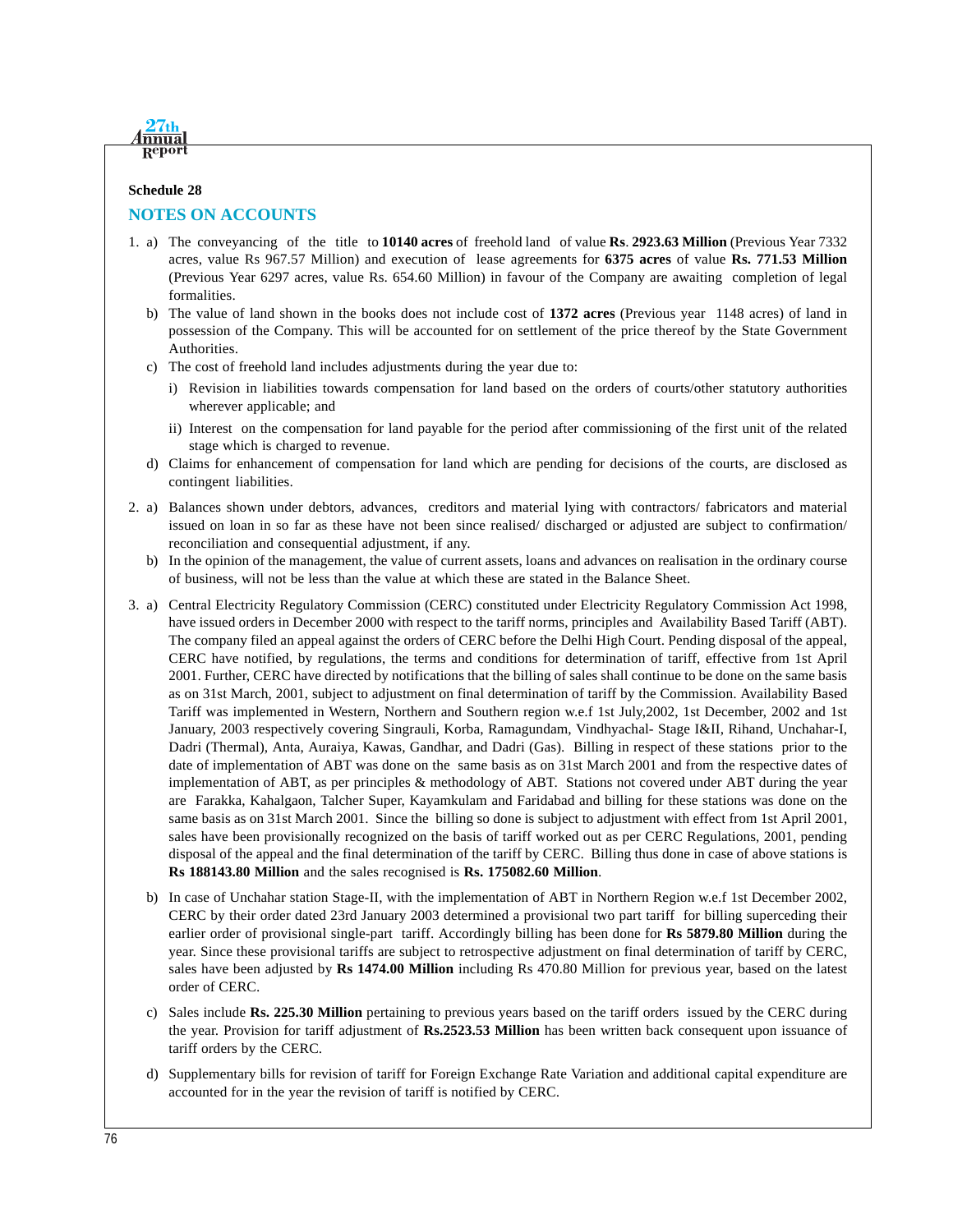

# **Schedule 28**

# **NOTES ON ACCOUNTS**

- 1. a) The conveyancing of the title to **10140 acres** of freehold land of value **Rs**. **2923.63 Million** (Previous Year 7332 acres, value Rs 967.57 Million) and execution of lease agreements for **6375 acres** of value **Rs. 771.53 Million** (Previous Year 6297 acres, value Rs. 654.60 Million) in favour of the Company are awaiting completion of legal formalities.
	- b) The value of land shown in the books does not include cost of **1372 acres** (Previous year 1148 acres) of land in possession of the Company. This will be accounted for on settlement of the price thereof by the State Government Authorities.
	- c) The cost of freehold land includes adjustments during the year due to:
		- i) Revision in liabilities towards compensation for land based on the orders of courts/other statutory authorities wherever applicable; and
		- ii) Interest on the compensation for land payable for the period after commissioning of the first unit of the related stage which is charged to revenue.
	- d) Claims for enhancement of compensation for land which are pending for decisions of the courts, are disclosed as contingent liabilities.
- 2. a) Balances shown under debtors, advances, creditors and material lying with contractors/ fabricators and material issued on loan in so far as these have not been since realised/ discharged or adjusted are subject to confirmation/ reconciliation and consequential adjustment, if any.
	- b) In the opinion of the management, the value of current assets, loans and advances on realisation in the ordinary course of business, will not be less than the value at which these are stated in the Balance Sheet.
- 3. a) Central Electricity Regulatory Commission (CERC) constituted under Electricity Regulatory Commission Act 1998, have issued orders in December 2000 with respect to the tariff norms, principles and Availability Based Tariff (ABT). The company filed an appeal against the orders of CERC before the Delhi High Court. Pending disposal of the appeal, CERC have notified, by regulations, the terms and conditions for determination of tariff, effective from 1st April 2001. Further, CERC have directed by notifications that the billing of sales shall continue to be done on the same basis as on 31st March, 2001, subject to adjustment on final determination of tariff by the Commission. Availability Based Tariff was implemented in Western, Northern and Southern region w.e.f 1st July,2002, 1st December, 2002 and 1st January, 2003 respectively covering Singrauli, Korba, Ramagundam, Vindhyachal- Stage I&II, Rihand, Unchahar-I, Dadri (Thermal), Anta, Auraiya, Kawas, Gandhar, and Dadri (Gas). Billing in respect of these stations prior to the date of implementation of ABT was done on the same basis as on 31st March 2001 and from the respective dates of implementation of ABT, as per principles & methodology of ABT. Stations not covered under ABT during the year are Farakka, Kahalgaon, Talcher Super, Kayamkulam and Faridabad and billing for these stations was done on the same basis as on 31st March 2001. Since the billing so done is subject to adjustment with effect from 1st April 2001, sales have been provisionally recognized on the basis of tariff worked out as per CERC Regulations, 2001, pending disposal of the appeal and the final determination of the tariff by CERC. Billing thus done in case of above stations is **Rs 188143.80 Million** and the sales recognised is **Rs. 175082.60 Million**.
	- b) In case of Unchahar station Stage-II, with the implementation of ABT in Northern Region w.e.f 1st December 2002, CERC by their order dated 23rd January 2003 determined a provisional two part tariff for billing superceding their earlier order of provisional single-part tariff. Accordingly billing has been done for **Rs 5879.80 Million** during the year. Since these provisional tariffs are subject to retrospective adjustment on final determination of tariff by CERC, sales have been adjusted by **Rs 1474.00 Million** including Rs 470.80 Million for previous year, based on the latest order of CERC.
	- c) Sales include **Rs. 225.30 Million** pertaining to previous years based on the tariff orders issued by the CERC during the year. Provision for tariff adjustment of **Rs.2523.53 Million** has been written back consequent upon issuance of tariff orders by the CERC.
	- d) Supplementary bills for revision of tariff for Foreign Exchange Rate Variation and additional capital expenditure are accounted for in the year the revision of tariff is notified by CERC.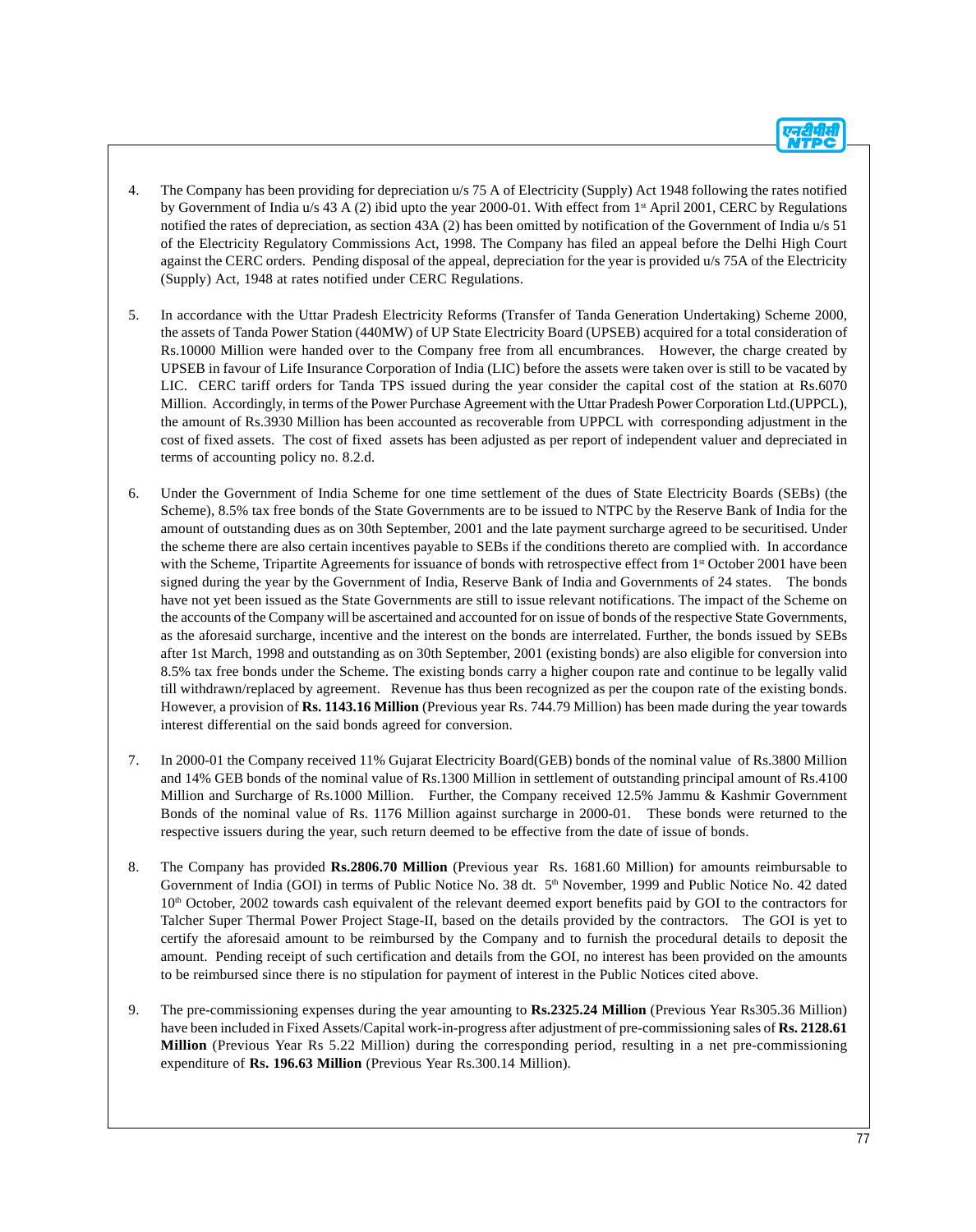- 4. The Company has been providing for depreciation u/s 75 A of Electricity (Supply) Act 1948 following the rates notified by Government of India u/s 43 A (2) ibid upto the year 2000-01. With effect from 1st April 2001, CERC by Regulations notified the rates of depreciation, as section 43A (2) has been omitted by notification of the Government of India u/s 51 of the Electricity Regulatory Commissions Act, 1998. The Company has filed an appeal before the Delhi High Court against the CERC orders. Pending disposal of the appeal, depreciation for the year is provided u/s 75A of the Electricity (Supply) Act, 1948 at rates notified under CERC Regulations.
- 5. In accordance with the Uttar Pradesh Electricity Reforms (Transfer of Tanda Generation Undertaking) Scheme 2000, the assets of Tanda Power Station (440MW) of UP State Electricity Board (UPSEB) acquired for a total consideration of Rs.10000 Million were handed over to the Company free from all encumbrances. However, the charge created by UPSEB in favour of Life Insurance Corporation of India (LIC) before the assets were taken over is still to be vacated by LIC. CERC tariff orders for Tanda TPS issued during the year consider the capital cost of the station at Rs.6070 Million. Accordingly, in terms of the Power Purchase Agreement with the Uttar Pradesh Power Corporation Ltd.(UPPCL), the amount of Rs.3930 Million has been accounted as recoverable from UPPCL with corresponding adjustment in the cost of fixed assets. The cost of fixed assets has been adjusted as per report of independent valuer and depreciated in terms of accounting policy no. 8.2.d.
- 6. Under the Government of India Scheme for one time settlement of the dues of State Electricity Boards (SEBs) (the Scheme), 8.5% tax free bonds of the State Governments are to be issued to NTPC by the Reserve Bank of India for the amount of outstanding dues as on 30th September, 2001 and the late payment surcharge agreed to be securitised. Under the scheme there are also certain incentives payable to SEBs if the conditions thereto are complied with. In accordance with the Scheme, Tripartite Agreements for issuance of bonds with retrospective effect from 1<sup>st</sup> October 2001 have been signed during the year by the Government of India, Reserve Bank of India and Governments of 24 states. The bonds have not yet been issued as the State Governments are still to issue relevant notifications. The impact of the Scheme on the accounts of the Company will be ascertained and accounted for on issue of bonds of the respective State Governments, as the aforesaid surcharge, incentive and the interest on the bonds are interrelated. Further, the bonds issued by SEBs after 1st March, 1998 and outstanding as on 30th September, 2001 (existing bonds) are also eligible for conversion into 8.5% tax free bonds under the Scheme. The existing bonds carry a higher coupon rate and continue to be legally valid till withdrawn/replaced by agreement. Revenue has thus been recognized as per the coupon rate of the existing bonds. However, a provision of **Rs. 1143.16 Million** (Previous year Rs. 744.79 Million) has been made during the year towards interest differential on the said bonds agreed for conversion.
- 7. In 2000-01 the Company received 11% Gujarat Electricity Board(GEB) bonds of the nominal value of Rs.3800 Million and 14% GEB bonds of the nominal value of Rs.1300 Million in settlement of outstanding principal amount of Rs.4100 Million and Surcharge of Rs.1000 Million. Further, the Company received 12.5% Jammu & Kashmir Government Bonds of the nominal value of Rs. 1176 Million against surcharge in 2000-01. These bonds were returned to the respective issuers during the year, such return deemed to be effective from the date of issue of bonds.
- 8. The Company has provided **Rs.2806.70 Million** (Previous year Rs. 1681.60 Million) for amounts reimbursable to Government of India (GOI) in terms of Public Notice No. 38 dt. 5<sup>th</sup> November, 1999 and Public Notice No. 42 dated 10<sup>th</sup> October, 2002 towards cash equivalent of the relevant deemed export benefits paid by GOI to the contractors for Talcher Super Thermal Power Project Stage-II, based on the details provided by the contractors. The GOI is yet to certify the aforesaid amount to be reimbursed by the Company and to furnish the procedural details to deposit the amount. Pending receipt of such certification and details from the GOI, no interest has been provided on the amounts to be reimbursed since there is no stipulation for payment of interest in the Public Notices cited above.
- 9. The pre-commissioning expenses during the year amounting to **Rs.2325.24 Million** (Previous Year Rs305.36 Million) have been included in Fixed Assets/Capital work-in-progress after adjustment of pre-commissioning sales of **Rs. 2128.61 Million** (Previous Year Rs 5.22 Million) during the corresponding period, resulting in a net pre-commissioning expenditure of **Rs. 196.63 Million** (Previous Year Rs.300.14 Million).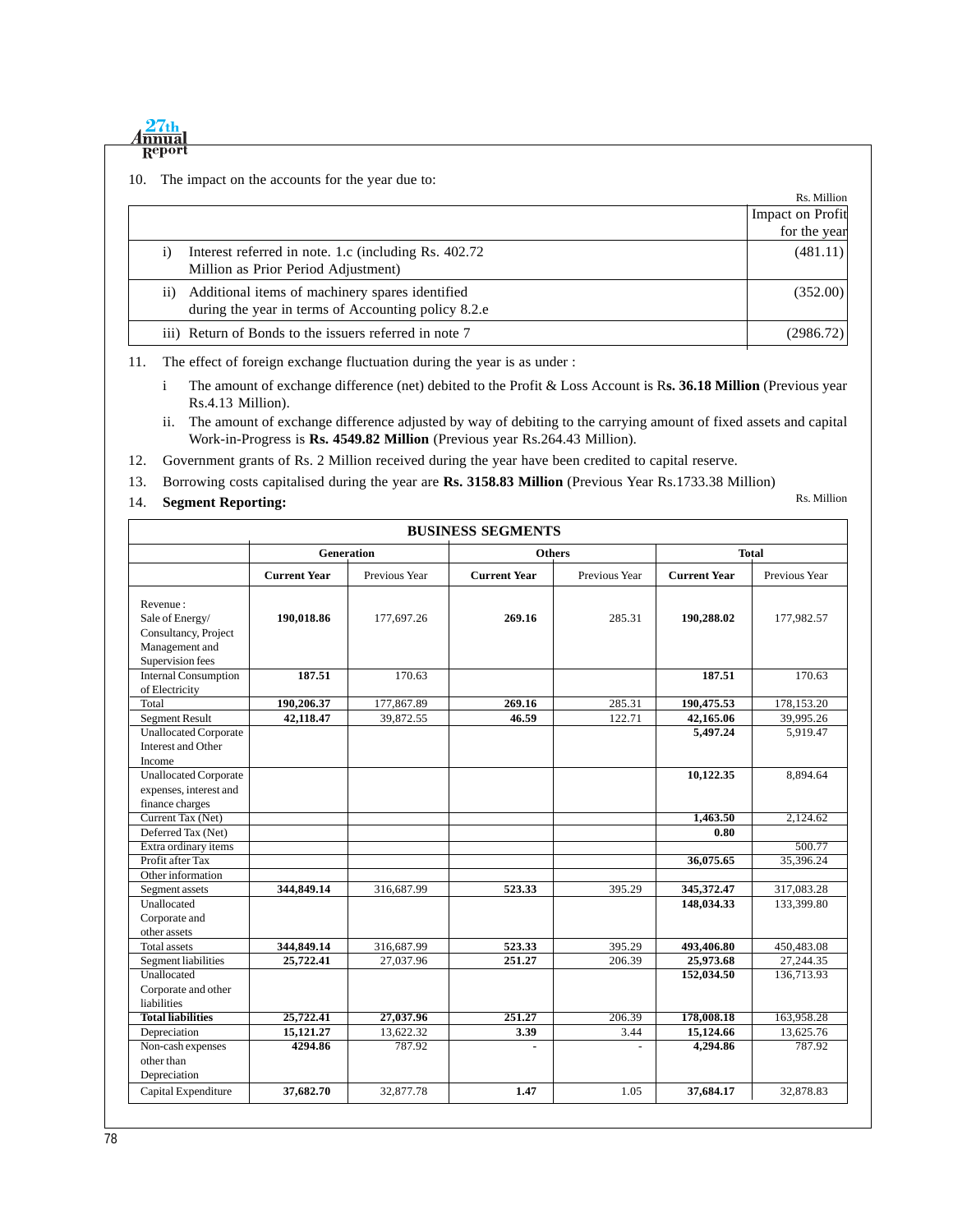|     | 27 <sub>th</sub>                                                           |                  |
|-----|----------------------------------------------------------------------------|------------------|
|     | Report                                                                     |                  |
| 10. | The impact on the accounts for the year due to:                            |                  |
|     |                                                                            | Rs. Million      |
|     |                                                                            | Impact on Profit |
|     |                                                                            | for the year     |
|     | Interest referred in note. 1.c (including Rs. 402.72)<br>$\left( i\right)$ | (481.11)         |
|     | Million as Prior Period Adjustment)                                        |                  |
|     | Additional items of machinery spares identified<br>$\overline{11}$ )       | (352.00)         |
|     | during the year in terms of Accounting policy 8.2.e                        |                  |
|     | iii) Return of Bonds to the issuers referred in note 7                     | (2986.72)        |
|     |                                                                            |                  |

11. The effect of foreign exchange fluctuation during the year is as under :

- i The amount of exchange difference (net) debited to the Profit & Loss Account is R**s. 36.18 Million** (Previous year Rs.4.13 Million).
- ii. The amount of exchange difference adjusted by way of debiting to the carrying amount of fixed assets and capital Work-in-Progress is **Rs. 4549.82 Million** (Previous year Rs.264.43 Million).
- 12. Government grants of Rs. 2 Million received during the year have been credited to capital reserve.
- 13. Borrowing costs capitalised during the year are **Rs. 3158.83 Million** (Previous Year Rs.1733.38 Million)
- 14. **Segment Reporting:**

Rs. Million

| <b>BUSINESS SEGMENTS</b>                                                                  |                                             |               |                     |               |                          |                          |
|-------------------------------------------------------------------------------------------|---------------------------------------------|---------------|---------------------|---------------|--------------------------|--------------------------|
|                                                                                           | Generation<br><b>Total</b><br><b>Others</b> |               |                     |               |                          |                          |
|                                                                                           | <b>Current Year</b>                         | Previous Year | <b>Current Year</b> | Previous Year | <b>Current Year</b>      | Previous Year            |
| Revenue:<br>Sale of Energy/<br>Consultancy, Project<br>Management and<br>Supervision fees | 190,018.86                                  | 177,697.26    | 269.16              | 285.31        | 190,288.02               | 177,982.57               |
| <b>Internal Consumption</b>                                                               | 187.51                                      | 170.63        |                     |               | 187.51                   | 170.63                   |
| of Electricity<br>Total                                                                   | 190,206.37                                  | 177,867.89    | 269.16              | 285.31        | 190,475.53               | 178,153.20               |
| <b>Segment Result</b>                                                                     | 42,118.47                                   | 39,872.55     | 46.59               | 122.71        | 42,165.06                | 39,995.26                |
| <b>Unallocated Corporate</b><br>Interest and Other<br>Income                              |                                             |               |                     |               | 5,497.24                 | 5,919.47                 |
| <b>Unallocated Corporate</b><br>expenses, interest and<br>finance charges                 |                                             |               |                     |               | 10,122.35                | 8,894.64                 |
| Current Tax (Net)                                                                         |                                             |               |                     |               | 1,463.50                 | 2,124.62                 |
| Deferred Tax (Net)                                                                        |                                             |               |                     |               | 0.80                     |                          |
| Extra ordinary items                                                                      |                                             |               |                     |               |                          | 500.77                   |
| Profit after Tax                                                                          |                                             |               |                     |               | 36,075.65                | 35,396.24                |
| Other information                                                                         |                                             |               |                     |               |                          |                          |
| Segment assets<br>Unallocated<br>Corporate and<br>other assets                            | 344,849.14                                  | 316,687.99    | 523.33              | 395.29        | 345,372.47<br>148,034.33 | 317,083.28<br>133,399.80 |
| <b>Total assets</b>                                                                       | 344,849.14                                  | 316,687.99    | 523.33              | 395.29        | 493,406.80               | 450,483.08               |
| Segment liabilities                                                                       | 25,722.41                                   | 27,037.96     | 251.27              | 206.39        | 25,973.68                | 27,244.35                |
| Unallocated<br>Corporate and other<br>liabilities                                         |                                             |               |                     |               | 152,034.50               | 136,713.93               |
| <b>Total liabilities</b>                                                                  | 25,722.41                                   | 27,037.96     | 251.27              | 206.39        | 178,008.18               | 163,958.28               |
| Depreciation                                                                              | 15,121.27                                   | 13,622.32     | 3.39                | 3.44          | 15,124.66                | 13,625.76                |
| Non-cash expenses<br>other than<br>Depreciation                                           | 4294.86                                     | 787.92        |                     |               | 4,294.86                 | 787.92                   |
| Capital Expenditure                                                                       | 37,682.70                                   | 32,877.78     | 1.47                | 1.05          | 37,684.17                | 32,878.83                |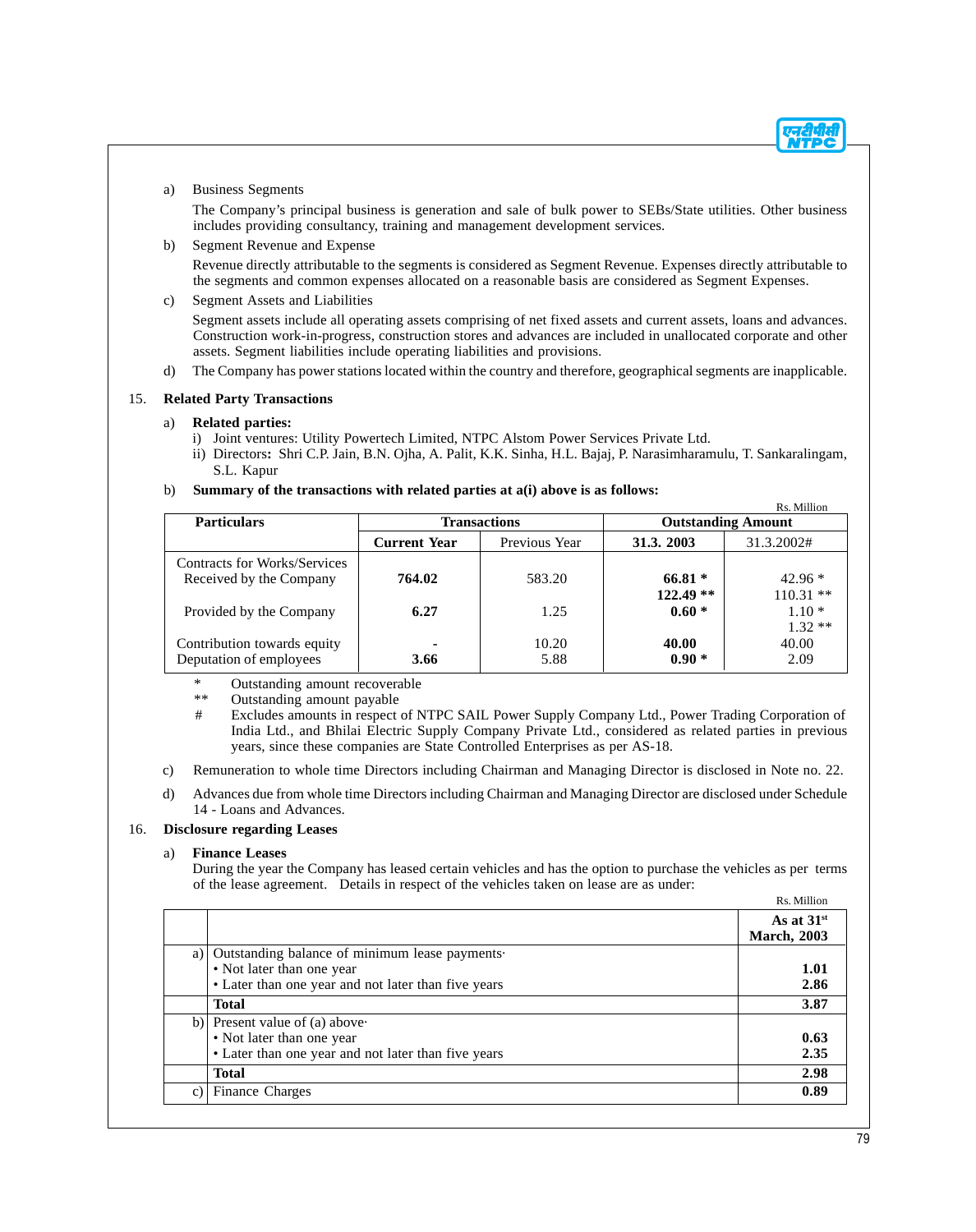#### a) Business Segments

The Company's principal business is generation and sale of bulk power to SEBs/State utilities. Other business includes providing consultancy, training and management development services.

#### b) Segment Revenue and Expense

Revenue directly attributable to the segments is considered as Segment Revenue. Expenses directly attributable to the segments and common expenses allocated on a reasonable basis are considered as Segment Expenses.

c) Segment Assets and Liabilities

Segment assets include all operating assets comprising of net fixed assets and current assets, loans and advances. Construction work-in-progress, construction stores and advances are included in unallocated corporate and other assets. Segment liabilities include operating liabilities and provisions.

d) The Company has power stations located within the country and therefore, geographical segments are inapplicable.

#### 15. **Related Party Transactions**

#### a) **Related parties:**

- i) Joint ventures: Utility Powertech Limited, NTPC Alstom Power Services Private Ltd.
- ii) Directors**:** Shri C.P. Jain, B.N. Ojha, A. Palit, K.K. Sinha, H.L. Bajaj, P. Narasimharamulu, T. Sankaralingam, S.L. Kapur

#### b) **Summary of the transactions with related parties at a(i) above is as follows:**

|                                                         |                     |               |                       | Rs. Million                       |
|---------------------------------------------------------|---------------------|---------------|-----------------------|-----------------------------------|
| <b>Particulars</b>                                      | <b>Transactions</b> |               |                       | <b>Outstanding Amount</b>         |
|                                                         | <b>Current Year</b> | Previous Year | 31.3.2003             | 31.3.2002#                        |
| Contracts for Works/Services<br>Received by the Company | 764.02              | 583.20        | $66.81*$              | $42.96*$                          |
| Provided by the Company                                 | 6.27                | 1.25          | $122.49**$<br>$0.60*$ | $110.31**$<br>$1.10*$<br>$1.32**$ |
| Contribution towards equity<br>Deputation of employees  | ٠<br>3.66           | 10.20<br>5.88 | 40.00<br>$0.90 *$     | 40.00<br>2.09                     |

\* Outstanding amount recoverable

\*\* Outstanding amount payable

- # Excludes amounts in respect of NTPC SAIL Power Supply Company Ltd., Power Trading Corporation of India Ltd., and Bhilai Electric Supply Company Private Ltd., considered as related parties in previous years, since these companies are State Controlled Enterprises as per AS-18.
- c) Remuneration to whole time Directors including Chairman and Managing Director is disclosed in Note no. 22.
- d) Advances due from whole time Directors including Chairman and Managing Director are disclosed under Schedule 14 - Loans and Advances.

#### 16. **Disclosure regarding Leases**

#### a) **Finance Leases**

During the year the Company has leased certain vehicles and has the option to purchase the vehicles as per terms of the lease agreement. Details in respect of the vehicles taken on lease are as under: Rs. Million

|                                                      | As at $31st$<br><b>March</b> , 2003 |
|------------------------------------------------------|-------------------------------------|
| Outstanding balance of minimum lease payments.<br>a) |                                     |
| • Not later than one year                            | 1.01                                |
| • Later than one year and not later than five years  | 2.86                                |
| <b>Total</b>                                         | 3.87                                |
| b) Present value of (a) above                        |                                     |
| • Not later than one year                            | 0.63                                |
| • Later than one year and not later than five years  | 2.35                                |
| <b>Total</b>                                         | 2.98                                |
| <b>Finance Charges</b><br>c)                         | 0.89                                |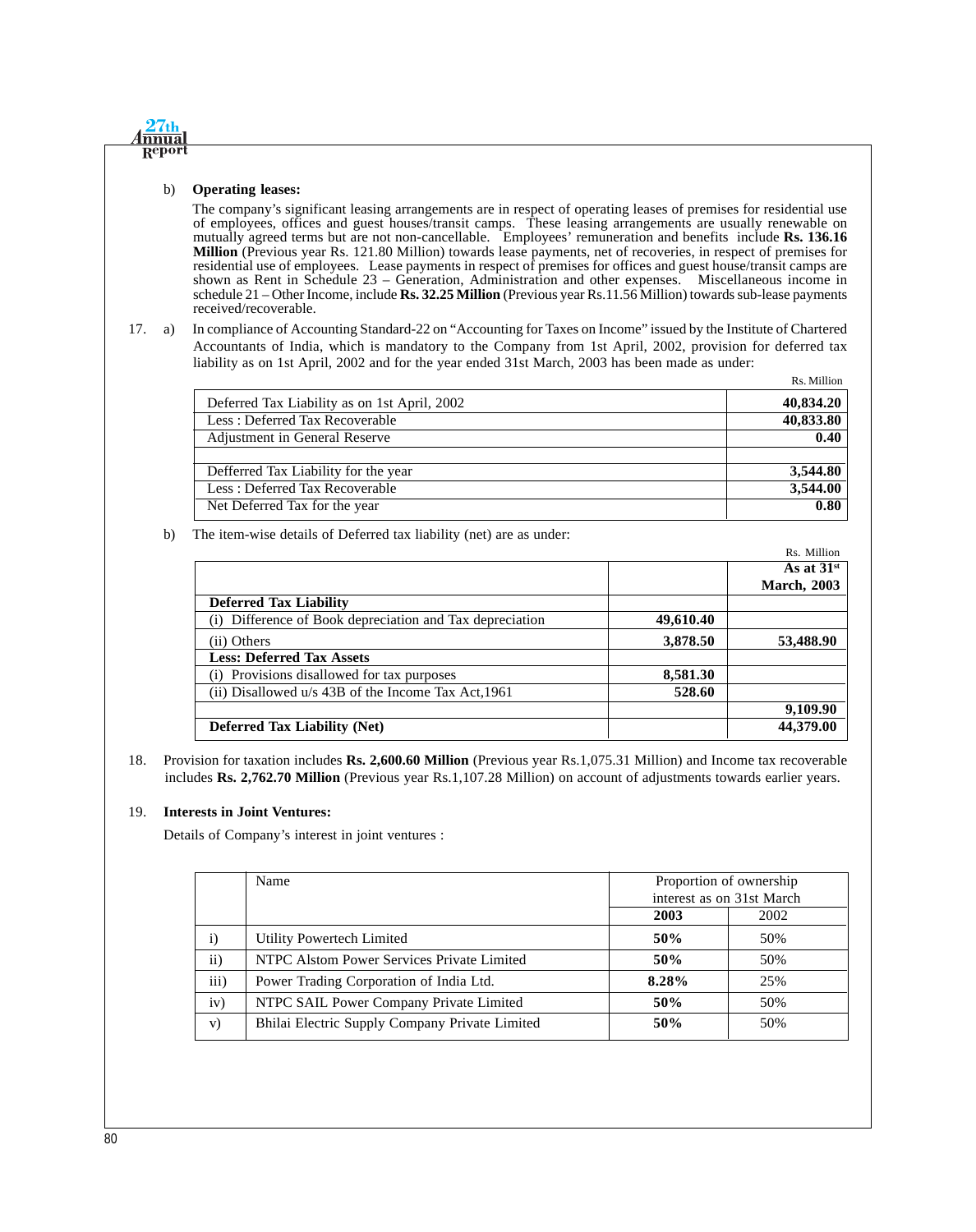#### b) **Operating leases:**

 $27th$ **nnua** Repor

> The company's significant leasing arrangements are in respect of operating leases of premises for residential use of employees, offices and guest houses/transit camps. These leasing arrangements are usually renewable on mutually agreed terms but are not non-cancellable. Employees' remuneration and benefits include **Rs. 136.16 Million** (Previous year Rs. 121.80 Million) towards lease payments, net of recoveries, in respect of premises for residential use of employees. Lease payments in respect of premises for offices and guest house/transit camps are shown as Rent in Schedule 23 – Generation, Administration and other expenses. Miscellaneous income in schedule 21 – Other Income, include **Rs. 32.25 Million** (Previous year Rs.11.56 Million) towards sub-lease payments received/recoverable.

17. a) In compliance of Accounting Standard-22 on "Accounting for Taxes on Income" issued by the Institute of Chartered Accountants of India, which is mandatory to the Company from 1st April, 2002, provision for deferred tax liability as on 1st April, 2002 and for the year ended 31st March, 2003 has been made as under:

|                                              | Rs. Million |
|----------------------------------------------|-------------|
| Deferred Tax Liability as on 1st April, 2002 | 40,834.20   |
| Less: Deferred Tax Recoverable               | 40,833.80   |
| Adjustment in General Reserve                | 0.40        |
|                                              |             |
| Defferred Tax Liability for the year         | 3,544.80    |
| Less: Deferred Tax Recoverable               | 3,544.00    |
| Net Deferred Tax for the year                | 0.80        |

#### b) The item-wise details of Deferred tax liability (net) are as under:

|                                                      |           | Rs. Million        |
|------------------------------------------------------|-----------|--------------------|
|                                                      |           | As at $31st$       |
|                                                      |           | <b>March, 2003</b> |
| <b>Deferred Tax Liability</b>                        |           |                    |
| Difference of Book depreciation and Tax depreciation | 49,610.40 |                    |
| (ii) Others                                          | 3,878.50  | 53,488.90          |
| <b>Less: Deferred Tax Assets</b>                     |           |                    |
| Provisions disallowed for tax purposes               | 8,581.30  |                    |
| (ii) Disallowed u/s 43B of the Income Tax Act, 1961  | 528.60    |                    |
|                                                      |           | 9,109.90           |
| <b>Deferred Tax Liability (Net)</b>                  |           | 44,379.00          |

18. Provision for taxation includes **Rs. 2,600.60 Million** (Previous year Rs.1,075.31 Million) and Income tax recoverable includes **Rs. 2,762.70 Million** (Previous year Rs.1,107.28 Million) on account of adjustments towards earlier years.

#### 19. **Interests in Joint Ventures:**

Details of Company's interest in joint ventures :

|               | Name                                           |                           | Proportion of ownership |
|---------------|------------------------------------------------|---------------------------|-------------------------|
|               |                                                | interest as on 31st March |                         |
|               |                                                | 2003                      | 2002                    |
| $\mathbf{i}$  | Utility Powertech Limited                      | 50%                       | 50%                     |
| $\mathbf{ii}$ | NTPC Alstom Power Services Private Limited     | 50%                       | 50%                     |
| iii)          | Power Trading Corporation of India Ltd.        | 8.28%                     | 25%                     |
| iv)           | NTPC SAIL Power Company Private Limited        | 50%                       | 50%                     |
| V)            | Bhilai Electric Supply Company Private Limited | 50%                       | 50%                     |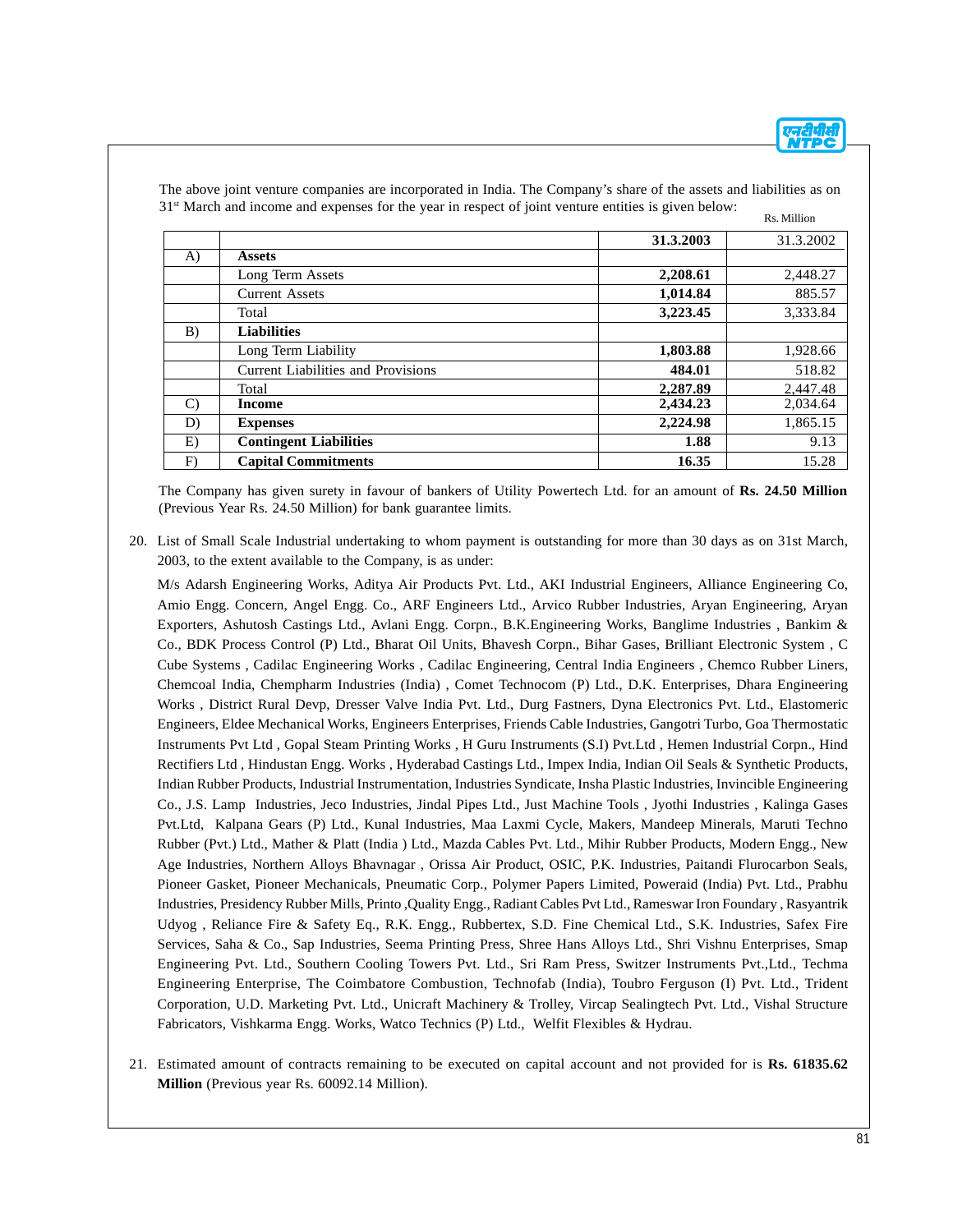|              |                                           | 31.3.2003 | 31.3.2002 |
|--------------|-------------------------------------------|-----------|-----------|
| A)           | <b>Assets</b>                             |           |           |
|              | Long Term Assets                          | 2,208.61  | 2,448.27  |
|              | <b>Current Assets</b>                     | 1,014.84  | 885.57    |
|              | Total                                     | 3,223.45  | 3,333.84  |
| B)           | <b>Liabilities</b>                        |           |           |
|              | Long Term Liability                       | 1,803.88  | 1,928.66  |
|              | <b>Current Liabilities and Provisions</b> | 484.01    | 518.82    |
|              | Total                                     | 2,287.89  | 2,447.48  |
| $\mathbf{C}$ | <b>Income</b>                             | 2,434.23  | 2,034.64  |
| D)           | <b>Expenses</b>                           | 2,224.98  | 1,865.15  |
| E)           | <b>Contingent Liabilities</b>             | 1.88      | 9.13      |
| F)           | <b>Capital Commitments</b>                | 16.35     | 15.28     |

The above joint venture companies are incorporated in India. The Company's share of the assets and liabilities as on 31st March and income and expenses for the year in respect of joint venture entities is given below: Rs. Million

The Company has given surety in favour of bankers of Utility Powertech Ltd. for an amount of **Rs. 24.50 Million** (Previous Year Rs. 24.50 Million) for bank guarantee limits.

20. List of Small Scale Industrial undertaking to whom payment is outstanding for more than 30 days as on 31st March, 2003, to the extent available to the Company, is as under:

M/s Adarsh Engineering Works, Aditya Air Products Pvt. Ltd., AKI Industrial Engineers, Alliance Engineering Co, Amio Engg. Concern, Angel Engg. Co., ARF Engineers Ltd., Arvico Rubber Industries, Aryan Engineering, Aryan Exporters, Ashutosh Castings Ltd., Avlani Engg. Corpn., B.K.Engineering Works, Banglime Industries , Bankim & Co., BDK Process Control (P) Ltd., Bharat Oil Units, Bhavesh Corpn., Bihar Gases, Brilliant Electronic System , C Cube Systems , Cadilac Engineering Works , Cadilac Engineering, Central India Engineers , Chemco Rubber Liners, Chemcoal India, Chempharm Industries (India) , Comet Technocom (P) Ltd., D.K. Enterprises, Dhara Engineering Works , District Rural Devp, Dresser Valve India Pvt. Ltd., Durg Fastners, Dyna Electronics Pvt. Ltd., Elastomeric Engineers, Eldee Mechanical Works, Engineers Enterprises, Friends Cable Industries, Gangotri Turbo, Goa Thermostatic Instruments Pvt Ltd , Gopal Steam Printing Works , H Guru Instruments (S.I) Pvt.Ltd , Hemen Industrial Corpn., Hind Rectifiers Ltd , Hindustan Engg. Works , Hyderabad Castings Ltd., Impex India, Indian Oil Seals & Synthetic Products, Indian Rubber Products, Industrial Instrumentation, Industries Syndicate, Insha Plastic Industries, Invincible Engineering Co., J.S. Lamp Industries, Jeco Industries, Jindal Pipes Ltd., Just Machine Tools , Jyothi Industries , Kalinga Gases Pvt.Ltd, Kalpana Gears (P) Ltd., Kunal Industries, Maa Laxmi Cycle, Makers, Mandeep Minerals, Maruti Techno Rubber (Pvt.) Ltd., Mather & Platt (India ) Ltd., Mazda Cables Pvt. Ltd., Mihir Rubber Products, Modern Engg., New Age Industries, Northern Alloys Bhavnagar , Orissa Air Product, OSIC, P.K. Industries, Paitandi Flurocarbon Seals, Pioneer Gasket, Pioneer Mechanicals, Pneumatic Corp., Polymer Papers Limited, Poweraid (India) Pvt. Ltd., Prabhu Industries, Presidency Rubber Mills, Printo ,Quality Engg., Radiant Cables Pvt Ltd., Rameswar Iron Foundary , Rasyantrik Udyog , Reliance Fire & Safety Eq., R.K. Engg., Rubbertex, S.D. Fine Chemical Ltd., S.K. Industries, Safex Fire Services, Saha & Co., Sap Industries, Seema Printing Press, Shree Hans Alloys Ltd., Shri Vishnu Enterprises, Smap Engineering Pvt. Ltd., Southern Cooling Towers Pvt. Ltd., Sri Ram Press, Switzer Instruments Pvt.,Ltd., Techma Engineering Enterprise, The Coimbatore Combustion, Technofab (India), Toubro Ferguson (I) Pvt. Ltd., Trident Corporation, U.D. Marketing Pvt. Ltd., Unicraft Machinery & Trolley, Vircap Sealingtech Pvt. Ltd., Vishal Structure Fabricators, Vishkarma Engg. Works, Watco Technics (P) Ltd., Welfit Flexibles & Hydrau.

21. Estimated amount of contracts remaining to be executed on capital account and not provided for is **Rs. 61835.62 Million** (Previous year Rs. 60092.14 Million).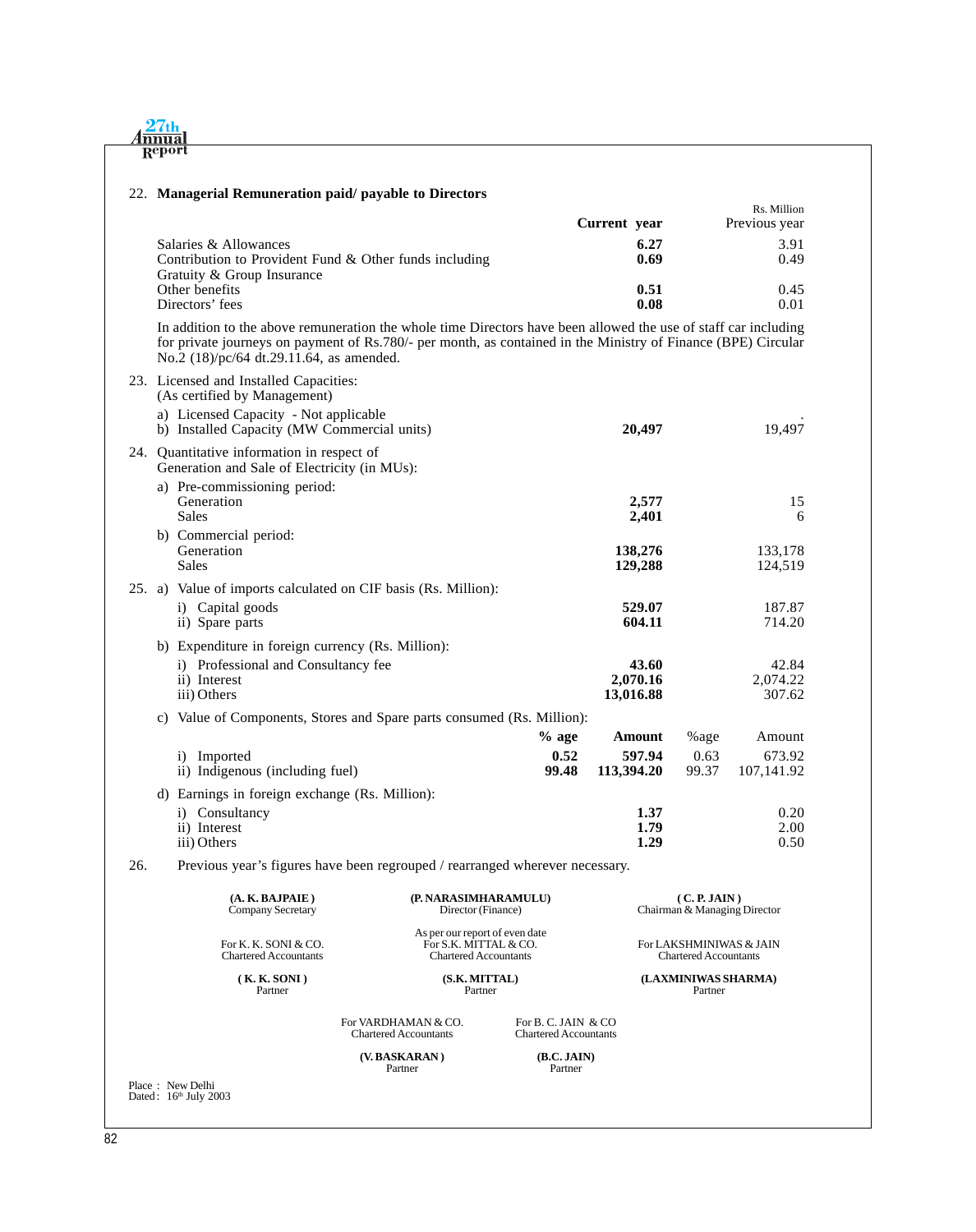| 27th      |
|-----------|
| $A$ nnual |
| Report    |

#### 22. **Managerial Remuneration paid/ payable to Directors**

|                                                        | Current year | Rs. Million<br>Previous year |
|--------------------------------------------------------|--------------|------------------------------|
| Salaries & Allowances                                  | 6.27         | 3.91                         |
| Contribution to Provident Fund & Other funds including | 0.69         | 0.49                         |
| Gratuity & Group Insurance                             |              |                              |
| Other benefits                                         | 0.51         | 0.45                         |
| Directors' fees                                        | 0.08         | 0.01                         |

In addition to the above remuneration the whole time Directors have been allowed the use of staff car including for private journeys on payment of Rs.780/- per month, as contained in the Ministry of Finance (BPE) Circular No.2 (18)/pc/64 dt.29.11.64, as amended.

|     | 23. Licensed and Installed Capacities:<br>(As certified by Management)<br>a) Licensed Capacity - Not applicable<br>b) Installed Capacity (MW Commercial units) |                                            | 20,497                                |                                              | 19,497                         |
|-----|----------------------------------------------------------------------------------------------------------------------------------------------------------------|--------------------------------------------|---------------------------------------|----------------------------------------------|--------------------------------|
|     | 24. Quantitative information in respect of<br>Generation and Sale of Electricity (in MUs):                                                                     |                                            |                                       |                                              |                                |
|     | a) Pre-commissioning period:<br>Generation<br><b>Sales</b>                                                                                                     |                                            | 2,577<br>2,401                        |                                              | 15<br>6                        |
|     | b) Commercial period:<br>Generation<br><b>Sales</b>                                                                                                            |                                            | 138,276<br>129,288                    |                                              | 133,178<br>124,519             |
|     | 25. a) Value of imports calculated on CIF basis (Rs. Million):<br>i) Capital goods<br>ii) Spare parts                                                          |                                            | 529.07<br>604.11                      |                                              | 187.87<br>714.20               |
|     | b) Expenditure in foreign currency (Rs. Million):<br>i) Professional and Consultancy fee<br>ii) Interest<br>iii) Others                                        |                                            | 43.60<br>2,070.16<br>13,016.88        |                                              | 42.84<br>2,074.22<br>307.62    |
|     | c) Value of Components, Stores and Spare parts consumed (Rs. Million):                                                                                         |                                            |                                       |                                              |                                |
|     | i) Imported<br>ii) Indigenous (including fuel)                                                                                                                 | $%$ age<br>0.52<br>99.48                   | <b>Amount</b><br>597.94<br>113,394.20 | %age<br>0.63<br>99.37                        | Amount<br>673.92<br>107,141.92 |
|     | d) Earnings in foreign exchange (Rs. Million):                                                                                                                 |                                            |                                       |                                              |                                |
|     | i) Consultancy<br>ii) Interest<br>iii) Others                                                                                                                  |                                            | 1.37<br>1.79<br>1.29                  |                                              | 0.20<br>2.00<br>0.50           |
| 26. | Previous year's figures have been regrouped / rearranged wherever necessary.                                                                                   |                                            |                                       |                                              |                                |
|     | (A. K. BAJPAIE)<br><b>Company Secretary</b>                                                                                                                    | (P. NARASIMHARAMULU)<br>Director (Finance) |                                       | (C, P, JAIN)<br>Chairman & Managing Director |                                |

As per our report of even date<br>For S.K. MITTAL & CO. For K. K. SONI & CO. For S.K. MITTAL & CO. For LAKSHMINIWAS & JAIN Chartered Accountants Chartered Accountants Chartered Accountants Chartered Accountants Chartered Accountants **( K. K. SONI ) (S.K. MITTAL) (LAXMINIWAS SHARMA)** Partner Partner Partner For VARDHAMAN & CO. For B. C. JAIN & CO. Chartered Accountants Chartered Accountants Chartered Accountants Chartered Accountants **(V. BASKARAN)** (B.C. JAIN) Partner Partner

Place : New Delhi<br>Dated : 16<sup>th</sup> July 2003